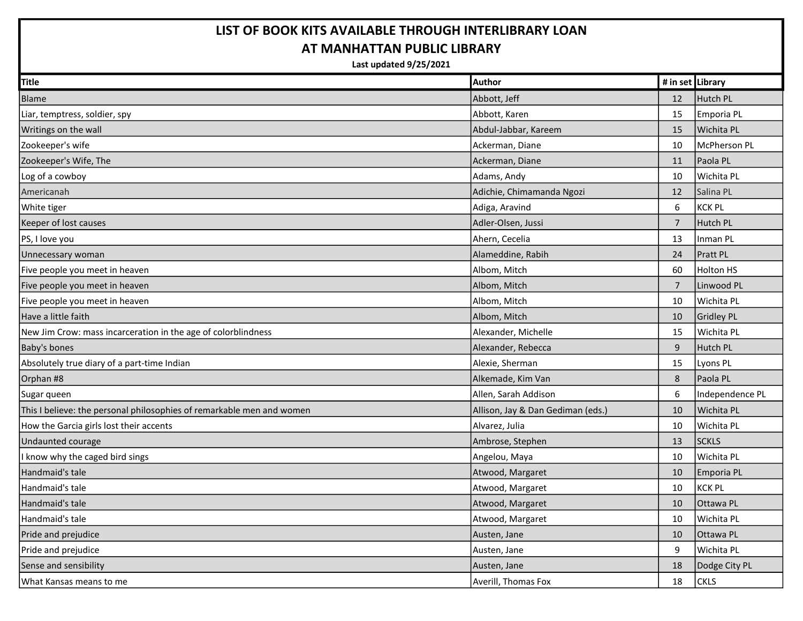## LIST OF BOOK KITS AVAILABLE THROUGH INTERLIBRARY LOAN AT MANHATTAN PUBLIC LIBRARY

Last updated 9/25/2021

| <b>Title</b>                                                          | <b>Author</b>                     | # in set Library |                   |
|-----------------------------------------------------------------------|-----------------------------------|------------------|-------------------|
| Blame                                                                 | Abbott, Jeff                      | 12               | Hutch PL          |
| Liar, temptress, soldier, spy                                         | Abbott, Karen                     | 15               | Emporia PL        |
| Writings on the wall                                                  | Abdul-Jabbar, Kareem              | 15               | Wichita PL        |
| Zookeeper's wife                                                      | Ackerman, Diane                   | 10               | McPherson PL      |
| Zookeeper's Wife, The                                                 | Ackerman, Diane                   | 11               | Paola PL          |
| Log of a cowboy                                                       | Adams, Andy                       | 10               | Wichita PL        |
| Americanah                                                            | Adichie, Chimamanda Ngozi         | 12               | Salina PL         |
| White tiger                                                           | Adiga, Aravind                    | 6                | <b>KCK PL</b>     |
| Keeper of lost causes                                                 | Adler-Olsen, Jussi                | $\overline{7}$   | Hutch PL          |
| PS, I love you                                                        | Ahern, Cecelia                    | 13               | Inman PL          |
| Unnecessary woman                                                     | Alameddine, Rabih                 | 24               | Pratt PL          |
| Five people you meet in heaven                                        | Albom, Mitch                      | 60               | <b>Holton HS</b>  |
| Five people you meet in heaven                                        | Albom, Mitch                      | $\overline{7}$   | Linwood PL        |
| Five people you meet in heaven                                        | Albom, Mitch                      | 10               | Wichita PL        |
| Have a little faith                                                   | Albom, Mitch                      | 10               | <b>Gridley PL</b> |
| New Jim Crow: mass incarceration in the age of colorblindness         | Alexander, Michelle               | 15               | Wichita PL        |
| Baby's bones                                                          | Alexander, Rebecca                | $9\,$            | Hutch PL          |
| Absolutely true diary of a part-time Indian                           | Alexie, Sherman                   | 15               | Lyons PL          |
| Orphan #8                                                             | Alkemade, Kim Van                 | 8                | Paola PL          |
| Sugar queen                                                           | Allen, Sarah Addison              | 6                | Independence PL   |
| This I believe: the personal philosophies of remarkable men and women | Allison, Jay & Dan Gediman (eds.) | 10               | Wichita PL        |
| How the Garcia girls lost their accents                               | Alvarez, Julia                    | 10               | Wichita PL        |
| Undaunted courage                                                     | Ambrose, Stephen                  | 13               | <b>SCKLS</b>      |
| I know why the caged bird sings                                       | Angelou, Maya                     | 10               | Wichita PL        |
| Handmaid's tale                                                       | Atwood, Margaret                  | 10               | Emporia PL        |
| Handmaid's tale                                                       | Atwood, Margaret                  | 10               | <b>KCK PL</b>     |
| Handmaid's tale                                                       | Atwood, Margaret                  | 10               | Ottawa PL         |
| Handmaid's tale                                                       | Atwood, Margaret                  | 10               | Wichita PL        |
| Pride and prejudice                                                   | Austen, Jane                      | 10               | Ottawa PL         |
| Pride and prejudice                                                   | Austen, Jane                      | 9                | Wichita PL        |
| Sense and sensibility                                                 | Austen, Jane                      | 18               | Dodge City PL     |
| What Kansas means to me                                               | Averill, Thomas Fox               | 18               | <b>CKLS</b>       |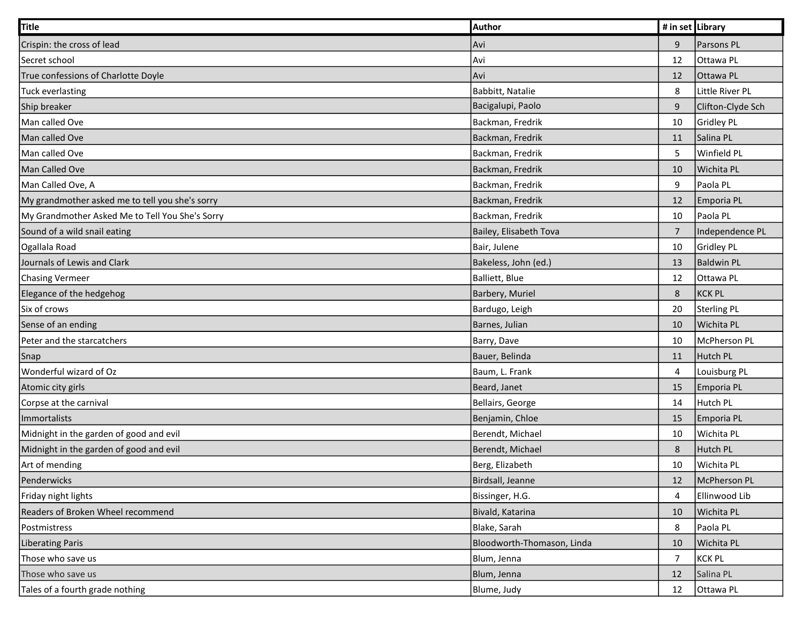| Title                                           | Author                     | # in set Library |                   |
|-------------------------------------------------|----------------------------|------------------|-------------------|
| Crispin: the cross of lead                      | Avi                        | 9                | Parsons PL        |
| Secret school                                   | Avi                        | 12               | Ottawa PL         |
| True confessions of Charlotte Doyle             | Avi                        | 12               | Ottawa PL         |
| Tuck everlasting                                | Babbitt, Natalie           | 8                | Little River PL   |
| Ship breaker                                    | Bacigalupi, Paolo          | 9                | Clifton-Clyde Sch |
| Man called Ove                                  | Backman, Fredrik           | 10               | Gridley PL        |
| Man called Ove                                  | Backman, Fredrik           | 11               | Salina PL         |
| Man called Ove                                  | Backman, Fredrik           | $\overline{5}$   | Winfield PL       |
| Man Called Ove                                  | Backman, Fredrik           | 10               | Wichita PL        |
| Man Called Ove, A                               | Backman, Fredrik           | 9                | Paola PL          |
| My grandmother asked me to tell you she's sorry | Backman, Fredrik           | 12               | Emporia PL        |
| My Grandmother Asked Me to Tell You She's Sorry | Backman, Fredrik           | 10               | Paola PL          |
| Sound of a wild snail eating                    | Bailey, Elisabeth Tova     | $\overline{7}$   | Independence PL   |
| Ogallala Road                                   | Bair, Julene               | 10               | Gridley PL        |
| Journals of Lewis and Clark                     | Bakeless, John (ed.)       | 13               | <b>Baldwin PL</b> |
| <b>Chasing Vermeer</b>                          | Balliett, Blue             | 12               | Ottawa PL         |
| Elegance of the hedgehog                        | Barbery, Muriel            | 8                | <b>KCK PL</b>     |
| Six of crows                                    | Bardugo, Leigh             | 20               | Sterling PL       |
| Sense of an ending                              | Barnes, Julian             | 10               | Wichita PL        |
| Peter and the starcatchers                      | Barry, Dave                | 10               | McPherson PL      |
| Snap                                            | Bauer, Belinda             | 11               | Hutch PL          |
| Wonderful wizard of Oz                          | Baum, L. Frank             | 4                | Louisburg PL      |
| Atomic city girls                               | Beard, Janet               | 15               | Emporia PL        |
| Corpse at the carnival                          | Bellairs, George           | 14               | Hutch PL          |
| Immortalists                                    | Benjamin, Chloe            | 15               | Emporia PL        |
| Midnight in the garden of good and evil         | Berendt, Michael           | 10               | Wichita PL        |
| Midnight in the garden of good and evil         | Berendt, Michael           | 8                | Hutch PL          |
| Art of mending                                  | Berg, Elizabeth            | 10               | Wichita PL        |
| Penderwicks                                     | Birdsall, Jeanne           | 12               | McPherson PL      |
| Friday night lights                             | Bissinger, H.G.            | 4                | Ellinwood Lib     |
| Readers of Broken Wheel recommend               | Bivald, Katarina           | 10               | Wichita PL        |
| Postmistress                                    | Blake, Sarah               | 8                | Paola PL          |
| <b>Liberating Paris</b>                         | Bloodworth-Thomason, Linda | 10               | Wichita PL        |
| Those who save us                               | Blum, Jenna                | $\overline{7}$   | <b>KCK PL</b>     |
| Those who save us                               | Blum, Jenna                | 12               | Salina PL         |
| Tales of a fourth grade nothing                 | Blume, Judy                | 12               | Ottawa PL         |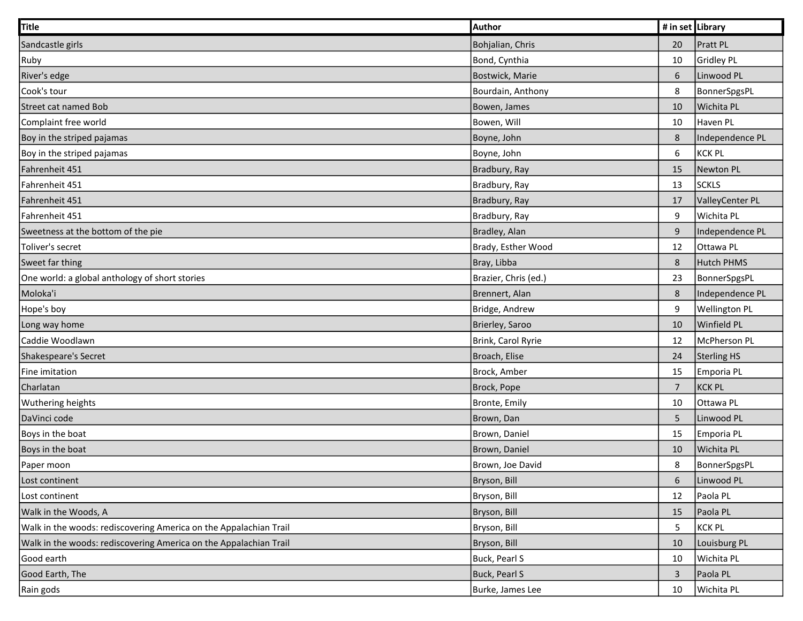| Title                                                             | Author               | # in set Library |                      |
|-------------------------------------------------------------------|----------------------|------------------|----------------------|
| Sandcastle girls                                                  | Bohjalian, Chris     | 20               | <b>Pratt PL</b>      |
| Ruby                                                              | Bond, Cynthia        | 10               | Gridley PL           |
| River's edge                                                      | Bostwick, Marie      | $\sqrt{6}$       | Linwood PL           |
| Cook's tour                                                       | Bourdain, Anthony    | 8                | BonnerSpgsPL         |
| Street cat named Bob                                              | Bowen, James         | 10               | Wichita PL           |
| Complaint free world                                              | Bowen, Will          | 10               | Haven PL             |
| Boy in the striped pajamas                                        | Boyne, John          | $\,8\,$          | Independence PL      |
| Boy in the striped pajamas                                        | Boyne, John          | $\boldsymbol{6}$ | <b>KCK PL</b>        |
| Fahrenheit 451                                                    | Bradbury, Ray        | 15               | Newton PL            |
| Fahrenheit 451                                                    | Bradbury, Ray        | 13               | <b>SCKLS</b>         |
| Fahrenheit 451                                                    | Bradbury, Ray        | 17               | ValleyCenter PL      |
| Fahrenheit 451                                                    | Bradbury, Ray        | 9                | Wichita PL           |
| Sweetness at the bottom of the pie                                | Bradley, Alan        | 9                | Independence PL      |
| Toliver's secret                                                  | Brady, Esther Wood   | 12               | Ottawa PL            |
| Sweet far thing                                                   | Bray, Libba          | $\,8\,$          | <b>Hutch PHMS</b>    |
| One world: a global anthology of short stories                    | Brazier, Chris (ed.) | 23               | BonnerSpgsPL         |
| Moloka'i                                                          | Brennert, Alan       | 8                | Independence PL      |
| Hope's boy                                                        | Bridge, Andrew       | 9                | <b>Wellington PL</b> |
| Long way home                                                     | Brierley, Saroo      | 10               | Winfield PL          |
| Caddie Woodlawn                                                   | Brink, Carol Ryrie   | 12               | McPherson PL         |
| Shakespeare's Secret                                              | Broach, Elise        | 24               | Sterling HS          |
| Fine imitation                                                    | Brock, Amber         | 15               | Emporia PL           |
| Charlatan                                                         | Brock, Pope          | $\overline{7}$   | KCK PL               |
| <b>Wuthering heights</b>                                          | Bronte, Emily        | 10               | Ottawa PL            |
| DaVinci code                                                      | Brown, Dan           | 5                | Linwood PL           |
| Boys in the boat                                                  | Brown, Daniel        | 15               | Emporia PL           |
| Boys in the boat                                                  | Brown, Daniel        | 10               | Wichita PL           |
| Paper moon                                                        | Brown, Joe David     | 8                | BonnerSpgsPL         |
| Lost continent                                                    | Bryson, Bill         | $\boldsymbol{6}$ | Linwood PL           |
| Lost continent                                                    | Bryson, Bill         | 12               | Paola PL             |
| Walk in the Woods, A                                              | Bryson, Bill         | 15               | Paola PL             |
| Walk in the woods: rediscovering America on the Appalachian Trail | Bryson, Bill         | $\overline{5}$   | <b>KCK PL</b>        |
| Walk in the woods: rediscovering America on the Appalachian Trail | Bryson, Bill         | 10               | Louisburg PL         |
| Good earth                                                        | Buck, Pearl S        | 10               | Wichita PL           |
| Good Earth, The                                                   | Buck, Pearl S        | 3                | Paola PL             |
| Rain gods                                                         | Burke, James Lee     | 10               | Wichita PL           |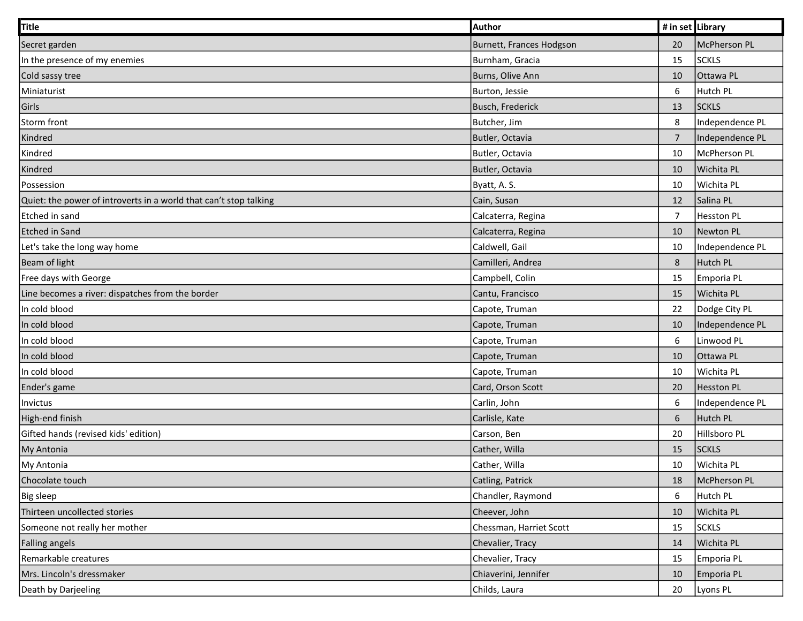| <b>Title</b>                                                      | Author                   | # in set Library |                   |
|-------------------------------------------------------------------|--------------------------|------------------|-------------------|
| Secret garden                                                     | Burnett, Frances Hodgson | 20               | McPherson PL      |
| In the presence of my enemies                                     | Burnham, Gracia          | 15               | <b>SCKLS</b>      |
| Cold sassy tree                                                   | Burns, Olive Ann         | 10               | Ottawa PL         |
| Miniaturist                                                       | Burton, Jessie           | 6                | Hutch PL          |
| Girls                                                             | Busch, Frederick         | 13               | <b>SCKLS</b>      |
| Storm front                                                       | Butcher, Jim             | $\,8\,$          | Independence PL   |
| Kindred                                                           | Butler, Octavia          | $\overline{7}$   | Independence PL   |
| Kindred                                                           | Butler, Octavia          | 10               | McPherson PL      |
| Kindred                                                           | Butler, Octavia          | 10               | Wichita PL        |
| Possession                                                        | Byatt, A.S.              | 10               | Wichita PL        |
| Quiet: the power of introverts in a world that can't stop talking | Cain, Susan              | 12               | Salina PL         |
| Etched in sand                                                    | Calcaterra, Regina       | $\overline{7}$   | <b>Hesston PL</b> |
| <b>Etched in Sand</b>                                             | Calcaterra, Regina       | 10               | Newton PL         |
| Let's take the long way home                                      | Caldwell, Gail           | 10               | Independence PL   |
| Beam of light                                                     | Camilleri, Andrea        | $\,8\,$          | Hutch PL          |
| Free days with George                                             | Campbell, Colin          | 15               | Emporia PL        |
| Line becomes a river: dispatches from the border                  | Cantu, Francisco         | 15               | Wichita PL        |
| In cold blood                                                     | Capote, Truman           | 22               | Dodge City PL     |
| In cold blood                                                     | Capote, Truman           | 10               | Independence PL   |
| In cold blood                                                     | Capote, Truman           | $\boldsymbol{6}$ | Linwood PL        |
| In cold blood                                                     | Capote, Truman           | 10               | Ottawa PL         |
| In cold blood                                                     | Capote, Truman           | 10               | Wichita PL        |
| Ender's game                                                      | Card, Orson Scott        | 20               | <b>Hesston PL</b> |
| Invictus                                                          | Carlin, John             | 6                | Independence PL   |
| High-end finish                                                   | Carlisle, Kate           | 6                | Hutch PL          |
| Gifted hands (revised kids' edition)                              | Carson, Ben              | 20               | Hillsboro PL      |
| My Antonia                                                        | Cather, Willa            | 15               | <b>SCKLS</b>      |
| My Antonia                                                        | Cather, Willa            | 10               | Wichita PL        |
| Chocolate touch                                                   | Catling, Patrick         | 18               | McPherson PL      |
| <b>Big sleep</b>                                                  | Chandler, Raymond        | 6                | Hutch PL          |
| Thirteen uncollected stories                                      | Cheever, John            | 10               | Wichita PL        |
| Someone not really her mother                                     | Chessman, Harriet Scott  | 15               | <b>SCKLS</b>      |
| Falling angels                                                    | Chevalier, Tracy         | 14               | Wichita PL        |
| Remarkable creatures                                              | Chevalier, Tracy         | 15               | Emporia PL        |
| Mrs. Lincoln's dressmaker                                         | Chiaverini, Jennifer     | 10               | Emporia PL        |
| Death by Darjeeling                                               | Childs, Laura            | 20               | Lyons PL          |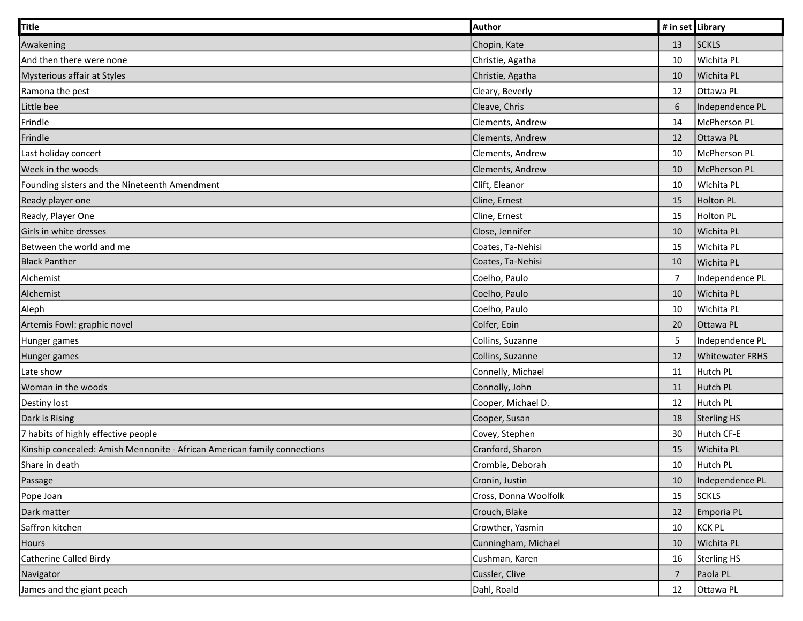| Title                                                                    | Author                | # in set Library |                        |
|--------------------------------------------------------------------------|-----------------------|------------------|------------------------|
| Awakening                                                                | Chopin, Kate          | 13               | <b>SCKLS</b>           |
| And then there were none                                                 | Christie, Agatha      | 10               | Wichita PL             |
| Mysterious affair at Styles                                              | Christie, Agatha      | 10               | Wichita PL             |
| Ramona the pest                                                          | Cleary, Beverly       | 12               | Ottawa PL              |
| Little bee                                                               | Cleave, Chris         | 6                | Independence PL        |
| Frindle                                                                  | Clements, Andrew      | 14               | McPherson PL           |
| Frindle                                                                  | Clements, Andrew      | 12               | Ottawa PL              |
| Last holiday concert                                                     | Clements, Andrew      | 10               | McPherson PL           |
| Week in the woods                                                        | Clements, Andrew      | 10               | McPherson PL           |
| Founding sisters and the Nineteenth Amendment                            | Clift, Eleanor        | 10               | Wichita PL             |
| Ready player one                                                         | Cline, Ernest         | 15               | <b>Holton PL</b>       |
| Ready, Player One                                                        | Cline, Ernest         | 15               | Holton PL              |
| Girls in white dresses                                                   | Close, Jennifer       | 10               | Wichita PL             |
| Between the world and me                                                 | Coates, Ta-Nehisi     | 15               | Wichita PL             |
| <b>Black Panther</b>                                                     | Coates, Ta-Nehisi     | 10               | Wichita PL             |
| Alchemist                                                                | Coelho, Paulo         | $\overline{7}$   | Independence PL        |
| Alchemist                                                                | Coelho, Paulo         | 10               | Wichita PL             |
| Aleph                                                                    | Coelho, Paulo         | 10               | Wichita PL             |
| Artemis Fowl: graphic novel                                              | Colfer, Eoin          | 20               | Ottawa PL              |
| Hunger games                                                             | Collins, Suzanne      | 5                | Independence PL        |
| Hunger games                                                             | Collins, Suzanne      | 12               | <b>Whitewater FRHS</b> |
| Late show                                                                | Connelly, Michael     | 11               | Hutch PL               |
| Woman in the woods                                                       | Connolly, John        | 11               | Hutch PL               |
| Destiny lost                                                             | Cooper, Michael D.    | 12               | Hutch PL               |
| Dark is Rising                                                           | Cooper, Susan         | 18               | Sterling HS            |
| 7 habits of highly effective people                                      | Covey, Stephen        | 30               | Hutch CF-E             |
| Kinship concealed: Amish Mennonite - African American family connections | Cranford, Sharon      | 15               | Wichita PL             |
| Share in death                                                           | Crombie, Deborah      | 10               | Hutch PL               |
| Passage                                                                  | Cronin, Justin        | 10               | Independence PL        |
| Pope Joan                                                                | Cross, Donna Woolfolk | 15               | <b>SCKLS</b>           |
| Dark matter                                                              | Crouch, Blake         | 12               | Emporia PL             |
| Saffron kitchen                                                          | Crowther, Yasmin      | 10               | KCK PL                 |
| Hours                                                                    | Cunningham, Michael   | 10               | Wichita PL             |
| Catherine Called Birdy                                                   | Cushman, Karen        | 16               | Sterling HS            |
| Navigator                                                                | Cussler, Clive        | $\overline{7}$   | Paola PL               |
| James and the giant peach                                                | Dahl, Roald           | 12               | Ottawa PL              |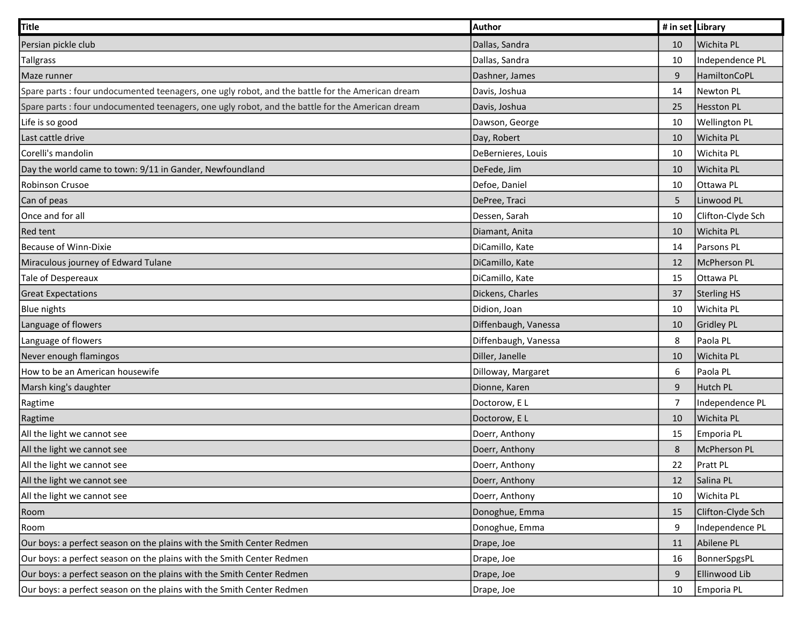| <b>Title</b>                                                                                     | Author               | # in set Library |                      |
|--------------------------------------------------------------------------------------------------|----------------------|------------------|----------------------|
| Persian pickle club                                                                              | Dallas, Sandra       | 10               | Wichita PL           |
| <b>Tallgrass</b>                                                                                 | Dallas, Sandra       | 10               | Independence PL      |
| Maze runner                                                                                      | Dashner, James       | 9                | HamiltonCoPL         |
| Spare parts : four undocumented teenagers, one ugly robot, and the battle for the American dream | Davis, Joshua        | 14               | <b>Newton PL</b>     |
| Spare parts : four undocumented teenagers, one ugly robot, and the battle for the American dream | Davis, Joshua        | 25               | Hesston PL           |
| Life is so good                                                                                  | Dawson, George       | 10               | <b>Wellington PL</b> |
| Last cattle drive                                                                                | Day, Robert          | 10               | Wichita PL           |
| Corelli's mandolin                                                                               | DeBernieres, Louis   | 10               | Wichita PL           |
| Day the world came to town: 9/11 in Gander, Newfoundland                                         | DeFede, Jim          | 10               | Wichita PL           |
| Robinson Crusoe                                                                                  | Defoe, Daniel        | 10               | Ottawa PL            |
| Can of peas                                                                                      | DePree, Traci        | 5                | Linwood PL           |
| Once and for all                                                                                 | Dessen, Sarah        | 10               | Clifton-Clyde Sch    |
| <b>Red tent</b>                                                                                  | Diamant, Anita       | 10               | Wichita PL           |
| Because of Winn-Dixie                                                                            | DiCamillo, Kate      | 14               | Parsons PL           |
| Miraculous journey of Edward Tulane                                                              | DiCamillo, Kate      | 12               | McPherson PL         |
| <b>Tale of Despereaux</b>                                                                        | DiCamillo, Kate      | 15               | Ottawa PL            |
| <b>Great Expectations</b>                                                                        | Dickens, Charles     | 37               | <b>Sterling HS</b>   |
| <b>Blue nights</b>                                                                               | Didion, Joan         | 10               | Wichita PL           |
| Language of flowers                                                                              | Diffenbaugh, Vanessa | 10               | Gridley PL           |
| Language of flowers                                                                              | Diffenbaugh, Vanessa | 8                | Paola PL             |
| Never enough flamingos                                                                           | Diller, Janelle      | 10               | Wichita PL           |
| How to be an American housewife                                                                  | Dilloway, Margaret   | 6                | Paola PL             |
| Marsh king's daughter                                                                            | Dionne, Karen        | 9                | Hutch PL             |
| Ragtime                                                                                          | Doctorow, E L        | $\overline{7}$   | Independence PL      |
| Ragtime                                                                                          | Doctorow, E L        | 10               | Wichita PL           |
| All the light we cannot see                                                                      | Doerr, Anthony       | 15               | Emporia PL           |
| All the light we cannot see                                                                      | Doerr, Anthony       | 8                | McPherson PL         |
| All the light we cannot see                                                                      | Doerr, Anthony       | 22               | <b>Pratt PL</b>      |
| All the light we cannot see                                                                      | Doerr, Anthony       | 12               | Salina PL            |
| All the light we cannot see                                                                      | Doerr, Anthony       | 10               | Wichita PL           |
| Room                                                                                             | Donoghue, Emma       | 15               | Clifton-Clyde Sch    |
| Room                                                                                             | Donoghue, Emma       | 9                | Independence PL      |
| Our boys: a perfect season on the plains with the Smith Center Redmen                            | Drape, Joe           | 11               | Abilene PL           |
| Our boys: a perfect season on the plains with the Smith Center Redmen                            | Drape, Joe           | 16               | BonnerSpgsPL         |
| Our boys: a perfect season on the plains with the Smith Center Redmen                            | Drape, Joe           | 9                | Ellinwood Lib        |
| Our boys: a perfect season on the plains with the Smith Center Redmen                            | Drape, Joe           | 10               | Emporia PL           |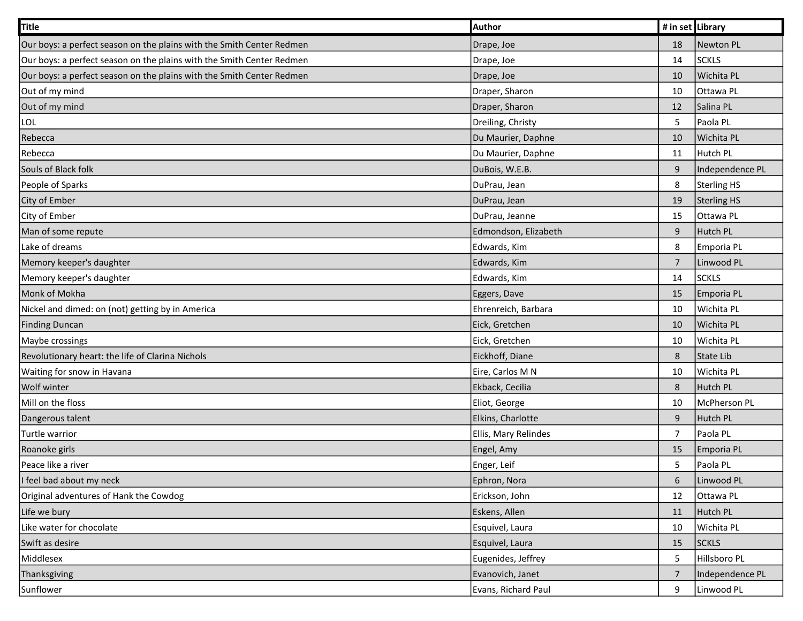| <b>Title</b>                                                          | Author               | # in set Library |                 |
|-----------------------------------------------------------------------|----------------------|------------------|-----------------|
| Our boys: a perfect season on the plains with the Smith Center Redmen | Drape, Joe           | 18               | Newton PL       |
| Our boys: a perfect season on the plains with the Smith Center Redmen | Drape, Joe           | 14               | <b>SCKLS</b>    |
| Our boys: a perfect season on the plains with the Smith Center Redmen | Drape, Joe           | 10               | Wichita PL      |
| Out of my mind                                                        | Draper, Sharon       | 10               | Ottawa PL       |
| Out of my mind                                                        | Draper, Sharon       | 12               | Salina PL       |
| LOL                                                                   | Dreiling, Christy    | $\overline{5}$   | Paola PL        |
| Rebecca                                                               | Du Maurier, Daphne   | 10               | Wichita PL      |
| Rebecca                                                               | Du Maurier, Daphne   | 11               | Hutch PL        |
| Souls of Black folk                                                   | DuBois, W.E.B.       | $9\,$            | Independence PL |
| People of Sparks                                                      | DuPrau, Jean         | 8                | Sterling HS     |
| City of Ember                                                         | DuPrau, Jean         | 19               | Sterling HS     |
| City of Ember                                                         | DuPrau, Jeanne       | 15               | Ottawa PL       |
| Man of some repute                                                    | Edmondson, Elizabeth | $9\,$            | Hutch PL        |
| Lake of dreams                                                        | Edwards, Kim         | 8                | Emporia PL      |
| Memory keeper's daughter                                              | Edwards, Kim         | $\overline{7}$   | Linwood PL      |
| Memory keeper's daughter                                              | Edwards, Kim         | 14               | <b>SCKLS</b>    |
| Monk of Mokha                                                         | Eggers, Dave         | 15               | Emporia PL      |
| Nickel and dimed: on (not) getting by in America                      | Ehrenreich, Barbara  | 10               | Wichita PL      |
| <b>Finding Duncan</b>                                                 | Eick, Gretchen       | 10               | Wichita PL      |
| Maybe crossings                                                       | Eick, Gretchen       | 10               | Wichita PL      |
| Revolutionary heart: the life of Clarina Nichols                      | Eickhoff, Diane      | 8                | State Lib       |
| Waiting for snow in Havana                                            | Eire, Carlos M N     | 10               | Wichita PL      |
| Wolf winter                                                           | Ekback, Cecilia      | 8                | Hutch PL        |
| Mill on the floss                                                     | Eliot, George        | 10               | McPherson PL    |
| Dangerous talent                                                      | Elkins, Charlotte    | $9\,$            | Hutch PL        |
| Turtle warrior                                                        | Ellis, Mary Relindes | $\overline{7}$   | Paola PL        |
| Roanoke girls                                                         | Engel, Amy           | 15               | Emporia PL      |
| Peace like a river                                                    | Enger, Leif          | 5                | Paola PL        |
| I feel bad about my neck                                              | Ephron, Nora         | $\boldsymbol{6}$ | Linwood PL      |
| Original adventures of Hank the Cowdog                                | Erickson, John       | 12               | Ottawa PL       |
| Life we bury                                                          | Eskens, Allen        | 11               | Hutch PL        |
| Like water for chocolate                                              | Esquivel, Laura      | 10               | Wichita PL      |
| Swift as desire                                                       | Esquivel, Laura      | 15               | <b>SCKLS</b>    |
| Middlesex                                                             | Eugenides, Jeffrey   | $\overline{5}$   | Hillsboro PL    |
| Thanksgiving                                                          | Evanovich, Janet     | $\overline{7}$   | Independence PL |
| Sunflower                                                             | Evans, Richard Paul  | 9                | Linwood PL      |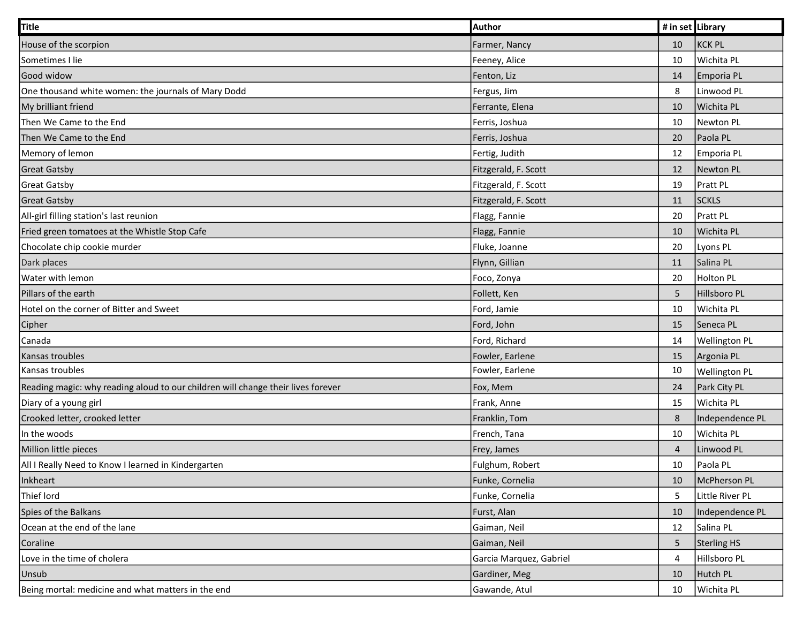| Title                                                                            | Author                  | # in set Library |                      |
|----------------------------------------------------------------------------------|-------------------------|------------------|----------------------|
| House of the scorpion                                                            | Farmer, Nancy           | 10               | <b>KCK PL</b>        |
| Sometimes I lie                                                                  | Feeney, Alice           | 10               | Wichita PL           |
| Good widow                                                                       | Fenton, Liz             | 14               | Emporia PL           |
| One thousand white women: the journals of Mary Dodd                              | Fergus, Jim             | 8                | Linwood PL           |
| My brilliant friend                                                              | Ferrante, Elena         | 10               | Wichita PL           |
| Then We Came to the End                                                          | Ferris, Joshua          | 10               | Newton PL            |
| Then We Came to the End                                                          | Ferris, Joshua          | 20               | Paola PL             |
| Memory of lemon                                                                  | Fertig, Judith          | 12               | Emporia PL           |
| <b>Great Gatsby</b>                                                              | Fitzgerald, F. Scott    | 12               | Newton PL            |
| <b>Great Gatsby</b>                                                              | Fitzgerald, F. Scott    | 19               | Pratt PL             |
| <b>Great Gatsby</b>                                                              | Fitzgerald, F. Scott    | 11               | <b>SCKLS</b>         |
| All-girl filling station's last reunion                                          | Flagg, Fannie           | 20               | Pratt PL             |
| Fried green tomatoes at the Whistle Stop Cafe                                    | Flagg, Fannie           | 10               | Wichita PL           |
| Chocolate chip cookie murder                                                     | Fluke, Joanne           | 20               | Lyons PL             |
| Dark places                                                                      | Flynn, Gillian          | 11               | Salina PL            |
| Water with lemon                                                                 | Foco, Zonya             | 20               | Holton PL            |
| Pillars of the earth                                                             | Follett, Ken            | $\overline{5}$   | Hillsboro PL         |
| Hotel on the corner of Bitter and Sweet                                          | Ford, Jamie             | 10               | Wichita PL           |
| Cipher                                                                           | Ford, John              | 15               | Seneca PL            |
| Canada                                                                           | Ford, Richard           | 14               | <b>Wellington PL</b> |
| Kansas troubles                                                                  | Fowler, Earlene         | 15               | Argonia PL           |
| Kansas troubles                                                                  | Fowler, Earlene         | 10               | Wellington PL        |
| Reading magic: why reading aloud to our children will change their lives forever | Fox, Mem                | 24               | Park City PL         |
| Diary of a young girl                                                            | Frank, Anne             | 15               | Wichita PL           |
| Crooked letter, crooked letter                                                   | Franklin, Tom           | 8                | Independence PL      |
| In the woods                                                                     | French, Tana            | 10               | Wichita PL           |
| Million little pieces                                                            | Frey, James             | $\overline{4}$   | Linwood PL           |
| All I Really Need to Know I learned in Kindergarten                              | Fulghum, Robert         | 10               | Paola PL             |
| Inkheart                                                                         | Funke, Cornelia         | 10               | McPherson PL         |
| Thief lord                                                                       | Funke, Cornelia         | 5                | Little River PL      |
| Spies of the Balkans                                                             | Furst, Alan             | 10               | Independence PL      |
| Ocean at the end of the lane                                                     | Gaiman, Neil            | 12               | Salina PL            |
| Coraline                                                                         | Gaiman, Neil            | $\mathsf S$      | Sterling HS          |
| Love in the time of cholera                                                      | Garcia Marquez, Gabriel | 4                | Hillsboro PL         |
| <b>Unsub</b>                                                                     | Gardiner, Meg           | 10               | Hutch PL             |
| Being mortal: medicine and what matters in the end                               | Gawande, Atul           | 10               | Wichita PL           |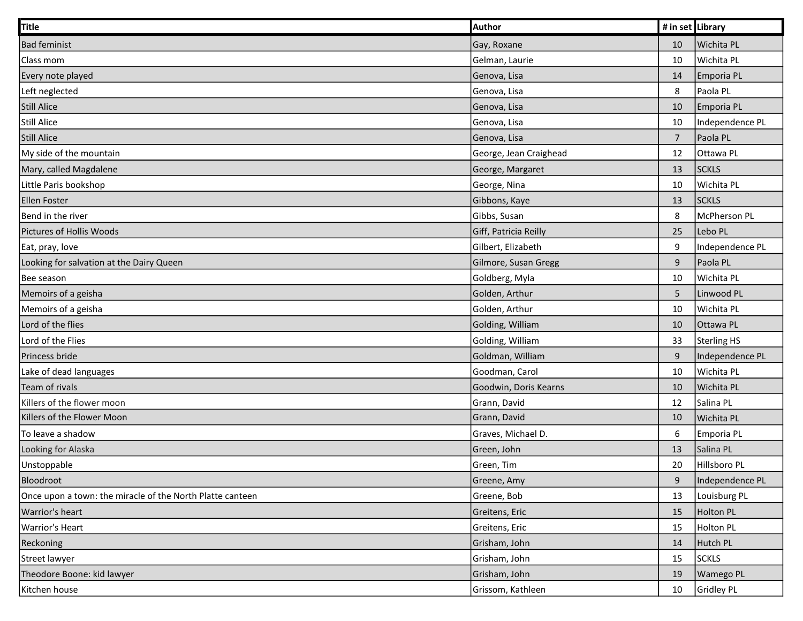| Title                                                     | Author                 | # in set Library |                   |
|-----------------------------------------------------------|------------------------|------------------|-------------------|
| <b>Bad feminist</b>                                       | Gay, Roxane            | 10               | <b>Wichita PL</b> |
| Class mom                                                 | Gelman, Laurie         | 10               | Wichita PL        |
| Every note played                                         | Genova, Lisa           | 14               | Emporia PL        |
| Left neglected                                            | Genova, Lisa           | 8                | Paola PL          |
| <b>Still Alice</b>                                        | Genova, Lisa           | 10               | Emporia PL        |
| <b>Still Alice</b>                                        | Genova, Lisa           | 10               | Independence PL   |
| <b>Still Alice</b>                                        | Genova, Lisa           | $\overline{7}$   | Paola PL          |
| My side of the mountain                                   | George, Jean Craighead | 12               | Ottawa PL         |
| Mary, called Magdalene                                    | George, Margaret       | 13               | <b>SCKLS</b>      |
| Little Paris bookshop                                     | George, Nina           | 10               | Wichita PL        |
| <b>Ellen Foster</b>                                       | Gibbons, Kaye          | 13               | <b>SCKLS</b>      |
| Bend in the river                                         | Gibbs, Susan           | 8                | McPherson PL      |
| Pictures of Hollis Woods                                  | Giff, Patricia Reilly  | 25               | Lebo PL           |
| Eat, pray, love                                           | Gilbert, Elizabeth     | 9                | Independence PL   |
| Looking for salvation at the Dairy Queen                  | Gilmore, Susan Gregg   | $9\,$            | Paola PL          |
| Bee season                                                | Goldberg, Myla         | 10               | Wichita PL        |
| Memoirs of a geisha                                       | Golden, Arthur         | 5                | Linwood PL        |
| Memoirs of a geisha                                       | Golden, Arthur         | 10               | Wichita PL        |
| Lord of the flies                                         | Golding, William       | 10               | Ottawa PL         |
| Lord of the Flies                                         | Golding, William       | 33               | Sterling HS       |
| Princess bride                                            | Goldman, William       | 9                | Independence PL   |
| Lake of dead languages                                    | Goodman, Carol         | 10               | Wichita PL        |
| Team of rivals                                            | Goodwin, Doris Kearns  | 10               | Wichita PL        |
| Killers of the flower moon                                | Grann, David           | 12               | Salina PL         |
| Killers of the Flower Moon                                | Grann, David           | 10               | Wichita PL        |
| To leave a shadow                                         | Graves, Michael D.     | 6                | Emporia PL        |
| Looking for Alaska                                        | Green, John            | 13               | Salina PL         |
| Unstoppable                                               | Green, Tim             | 20               | Hillsboro PL      |
| Bloodroot                                                 | Greene, Amy            | $9\,$            | Independence PL   |
| Once upon a town: the miracle of the North Platte canteen | Greene, Bob            | 13               | Louisburg PL      |
| Warrior's heart                                           | Greitens, Eric         | 15               | <b>Holton PL</b>  |
| <b>Warrior's Heart</b>                                    | Greitens, Eric         | 15               | <b>Holton PL</b>  |
| Reckoning                                                 | Grisham, John          | 14               | Hutch PL          |
| <b>Street lawyer</b>                                      | Grisham, John          | 15               | <b>SCKLS</b>      |
| Theodore Boone: kid lawyer                                | Grisham, John          | 19               | Wamego PL         |
| Kitchen house                                             | Grissom, Kathleen      | 10               | Gridley PL        |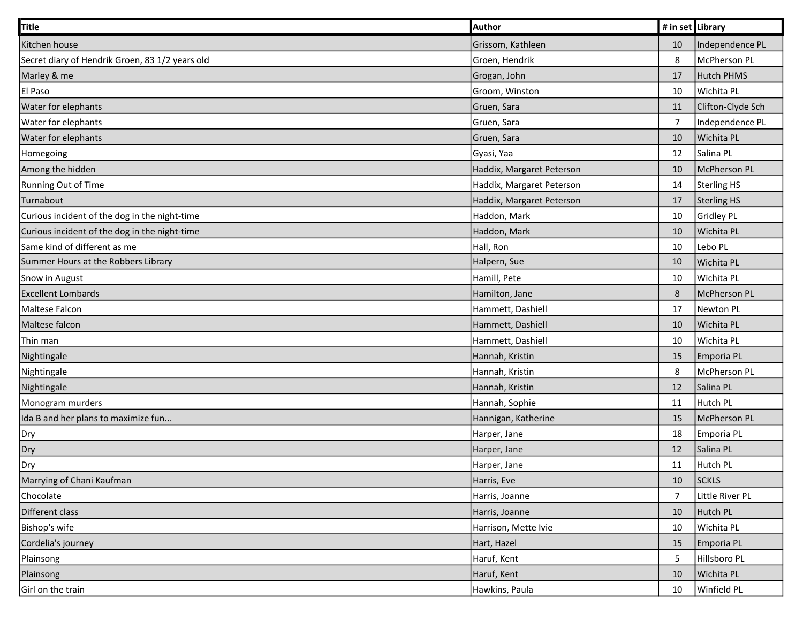| Title                                           | Author                    | # in set Library |                   |
|-------------------------------------------------|---------------------------|------------------|-------------------|
| Kitchen house                                   | Grissom, Kathleen         | 10               | Independence PL   |
| Secret diary of Hendrik Groen, 83 1/2 years old | Groen, Hendrik            | 8                | McPherson PL      |
| Marley & me                                     | Grogan, John              | 17               | Hutch PHMS        |
| El Paso                                         | Groom, Winston            | 10               | Wichita PL        |
| Water for elephants                             | Gruen, Sara               | 11               | Clifton-Clyde Sch |
| Water for elephants                             | Gruen, Sara               | $\overline{7}$   | Independence PL   |
| Water for elephants                             | Gruen, Sara               | 10               | Wichita PL        |
| Homegoing                                       | Gyasi, Yaa                | 12               | Salina PL         |
| Among the hidden                                | Haddix, Margaret Peterson | 10               | McPherson PL      |
| Running Out of Time                             | Haddix, Margaret Peterson | 14               | Sterling HS       |
| Turnabout                                       | Haddix, Margaret Peterson | 17               | Sterling HS       |
| Curious incident of the dog in the night-time   | Haddon, Mark              | 10               | Gridley PL        |
| Curious incident of the dog in the night-time   | Haddon, Mark              | 10               | Wichita PL        |
| Same kind of different as me                    | Hall, Ron                 | 10               | Lebo PL           |
| Summer Hours at the Robbers Library             | Halpern, Sue              | 10               | Wichita PL        |
| Snow in August                                  | Hamill, Pete              | 10               | Wichita PL        |
| <b>Excellent Lombards</b>                       | Hamilton, Jane            | 8                | McPherson PL      |
| Maltese Falcon                                  | Hammett, Dashiell         | 17               | Newton PL         |
| Maltese falcon                                  | Hammett, Dashiell         | 10               | Wichita PL        |
| Thin man                                        | Hammett, Dashiell         | 10               | Wichita PL        |
| Nightingale                                     | Hannah, Kristin           | 15               | Emporia PL        |
| Nightingale                                     | Hannah, Kristin           | 8                | McPherson PL      |
| Nightingale                                     | Hannah, Kristin           | 12               | Salina PL         |
| Monogram murders                                | Hannah, Sophie            | 11               | Hutch PL          |
| Ida B and her plans to maximize fun             | Hannigan, Katherine       | 15               | McPherson PL      |
| Dry                                             | Harper, Jane              | 18               | Emporia PL        |
| Dry                                             | Harper, Jane              | 12               | Salina PL         |
| Dry                                             | Harper, Jane              | 11               | Hutch PL          |
| Marrying of Chani Kaufman                       | Harris, Eve               | 10               | <b>SCKLS</b>      |
| Chocolate                                       | Harris, Joanne            | $\overline{7}$   | Little River PL   |
| Different class                                 | Harris, Joanne            | 10               | Hutch PL          |
| Bishop's wife                                   | Harrison, Mette Ivie      | 10               | Wichita PL        |
| Cordelia's journey                              | Hart, Hazel               | 15               | Emporia PL        |
| Plainsong                                       | Haruf, Kent               | 5                | Hillsboro PL      |
| Plainsong                                       | Haruf, Kent               | 10               | Wichita PL        |
| Girl on the train                               | Hawkins, Paula            | 10               | Winfield PL       |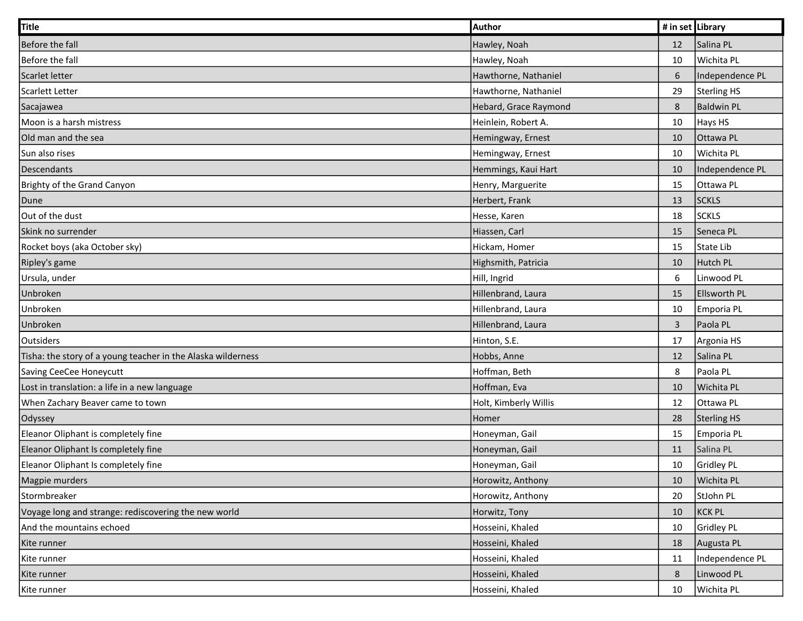| Title                                                        | Author                | # in set Library |                     |
|--------------------------------------------------------------|-----------------------|------------------|---------------------|
| Before the fall                                              | Hawley, Noah          | 12               | Salina PL           |
| Before the fall                                              | Hawley, Noah          | 10               | Wichita PL          |
| Scarlet letter                                               | Hawthorne, Nathaniel  | 6                | Independence PL     |
| Scarlett Letter                                              | Hawthorne, Nathaniel  | 29               | <b>Sterling HS</b>  |
| Sacajawea                                                    | Hebard, Grace Raymond | $\,8\,$          | <b>Baldwin PL</b>   |
| Moon is a harsh mistress                                     | Heinlein, Robert A.   | 10               | Hays HS             |
| Old man and the sea                                          | Hemingway, Ernest     | 10               | Ottawa PL           |
| Sun also rises                                               | Hemingway, Ernest     | 10               | Wichita PL          |
| Descendants                                                  | Hemmings, Kaui Hart   | 10               | Independence PL     |
| Brighty of the Grand Canyon                                  | Henry, Marguerite     | 15               | Ottawa PL           |
| Dune                                                         | Herbert, Frank        | 13               | <b>SCKLS</b>        |
| Out of the dust                                              | Hesse, Karen          | 18               | <b>SCKLS</b>        |
| Skink no surrender                                           | Hiassen, Carl         | 15               | Seneca PL           |
| Rocket boys (aka October sky)                                | Hickam, Homer         | 15               | State Lib           |
| Ripley's game                                                | Highsmith, Patricia   | 10               | Hutch PL            |
| Ursula, under                                                | Hill, Ingrid          | $\sqrt{6}$       | Linwood PL          |
| Unbroken                                                     | Hillenbrand, Laura    | 15               | <b>Ellsworth PL</b> |
| Unbroken                                                     | Hillenbrand, Laura    | 10               | Emporia PL          |
| Unbroken                                                     | Hillenbrand, Laura    | $\mathbf{3}$     | Paola PL            |
| <b>Outsiders</b>                                             | Hinton, S.E.          | 17               | Argonia HS          |
| Tisha: the story of a young teacher in the Alaska wilderness | Hobbs, Anne           | 12               | Salina PL           |
| Saving CeeCee Honeycutt                                      | Hoffman, Beth         | 8                | Paola PL            |
| Lost in translation: a life in a new language                | Hoffman, Eva          | 10               | Wichita PL          |
| When Zachary Beaver came to town                             | Holt, Kimberly Willis | 12               | Ottawa PL           |
| Odyssey                                                      | Homer                 | 28               | Sterling HS         |
| Eleanor Oliphant is completely fine                          | Honeyman, Gail        | 15               | Emporia PL          |
| Eleanor Oliphant Is completely fine                          | Honeyman, Gail        | 11               | Salina PL           |
| Eleanor Oliphant Is completely fine                          | Honeyman, Gail        | 10               | Gridley PL          |
| Magpie murders                                               | Horowitz, Anthony     | 10               | Wichita PL          |
| Stormbreaker                                                 | Horowitz, Anthony     | 20               | StJohn PL           |
| Voyage long and strange: rediscovering the new world         | Horwitz, Tony         | 10               | <b>KCK PL</b>       |
| And the mountains echoed                                     | Hosseini, Khaled      | 10               | Gridley PL          |
| Kite runner                                                  | Hosseini, Khaled      | 18               | Augusta PL          |
| Kite runner                                                  | Hosseini, Khaled      | 11               | Independence PL     |
| Kite runner                                                  | Hosseini, Khaled      | 8                | Linwood PL          |
| Kite runner                                                  | Hosseini, Khaled      | 10               | Wichita PL          |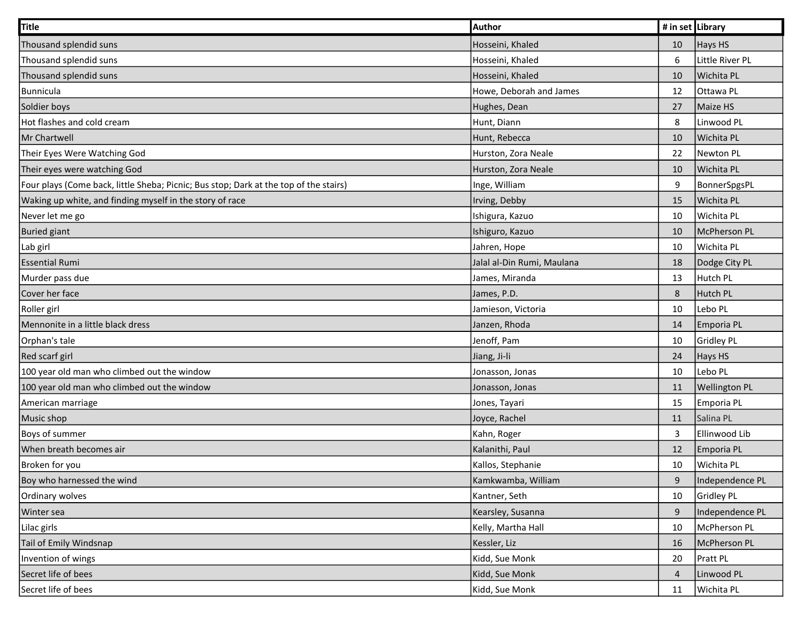| Title                                                                                 | Author                     | # in set Library |                 |
|---------------------------------------------------------------------------------------|----------------------------|------------------|-----------------|
| Thousand splendid suns                                                                | Hosseini, Khaled           | 10               | Hays HS         |
| Thousand splendid suns                                                                | Hosseini, Khaled           | 6                | Little River PL |
| Thousand splendid suns                                                                | Hosseini, Khaled           | 10               | Wichita PL      |
| Bunnicula                                                                             | Howe, Deborah and James    | 12               | Ottawa PL       |
| Soldier boys                                                                          | Hughes, Dean               | 27               | Maize HS        |
| Hot flashes and cold cream                                                            | Hunt, Diann                | 8                | Linwood PL      |
| Mr Chartwell                                                                          | Hunt, Rebecca              | 10               | Wichita PL      |
| Their Eyes Were Watching God                                                          | Hurston, Zora Neale        | 22               | Newton PL       |
| Their eyes were watching God                                                          | Hurston, Zora Neale        | 10               | Wichita PL      |
| Four plays (Come back, little Sheba; Picnic; Bus stop; Dark at the top of the stairs) | Inge, William              | 9                | BonnerSpgsPL    |
| Waking up white, and finding myself in the story of race                              | Irving, Debby              | 15               | Wichita PL      |
| Never let me go                                                                       | Ishigura, Kazuo            | 10               | Wichita PL      |
| <b>Buried giant</b>                                                                   | Ishiguro, Kazuo            | 10               | McPherson PL    |
| Lab girl                                                                              | Jahren, Hope               | 10               | Wichita PL      |
| <b>Essential Rumi</b>                                                                 | Jalal al-Din Rumi, Maulana | 18               | Dodge City PL   |
| Murder pass due                                                                       | James, Miranda             | 13               | Hutch PL        |
| Cover her face                                                                        | James, P.D.                | 8                | Hutch PL        |
| Roller girl                                                                           | Jamieson, Victoria         | 10               | Lebo PL         |
| Mennonite in a little black dress                                                     | Janzen, Rhoda              | 14               | Emporia PL      |
| Orphan's tale                                                                         | Jenoff, Pam                | 10               | Gridley PL      |
| Red scarf girl                                                                        | Jiang, Ji-li               | 24               | Hays HS         |
| 100 year old man who climbed out the window                                           | Jonasson, Jonas            | 10               | Lebo PL         |
| 100 year old man who climbed out the window                                           | Jonasson, Jonas            | 11               | Wellington PL   |
| American marriage                                                                     | Jones, Tayari              | 15               | Emporia PL      |
| Music shop                                                                            | Joyce, Rachel              | 11               | Salina PL       |
| Boys of summer                                                                        | Kahn, Roger                | $\mathbf{3}$     | Ellinwood Lib   |
| When breath becomes air                                                               | Kalanithi, Paul            | 12               | Emporia PL      |
| Broken for you                                                                        | Kallos, Stephanie          | 10               | Wichita PL      |
| Boy who harnessed the wind                                                            | Kamkwamba, William         | $9\,$            | Independence PL |
| Ordinary wolves                                                                       | Kantner, Seth              | 10               | Gridley PL      |
| Winter sea                                                                            | Kearsley, Susanna          | 9                | Independence PL |
| Lilac girls                                                                           | Kelly, Martha Hall         | 10               | McPherson PL    |
| Tail of Emily Windsnap                                                                | Kessler, Liz               | 16               | McPherson PL    |
| Invention of wings                                                                    | Kidd, Sue Monk             | 20               | Pratt PL        |
| Secret life of bees                                                                   | Kidd, Sue Monk             | $\overline{4}$   | Linwood PL      |
| Secret life of bees                                                                   | Kidd, Sue Monk             | 11               | Wichita PL      |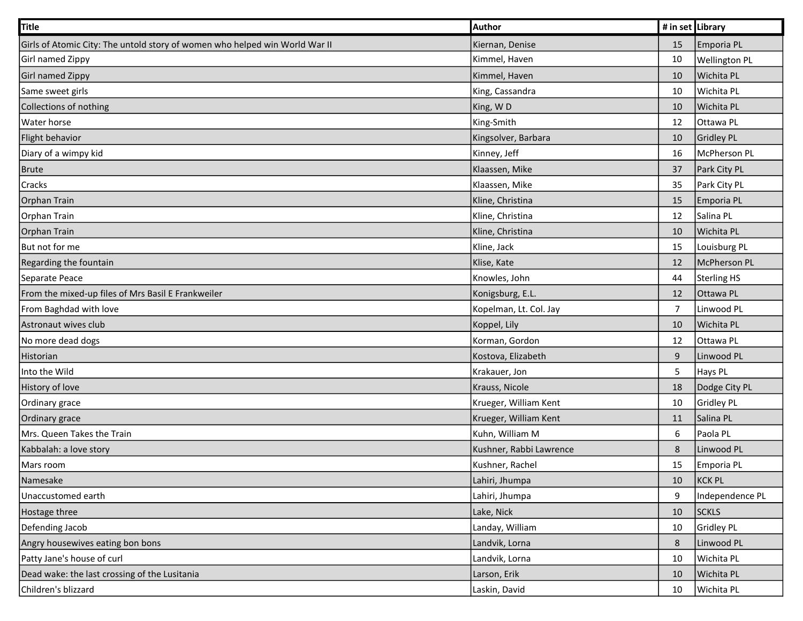| <b>Title</b>                                                                | Author                  | # in set Library |                      |
|-----------------------------------------------------------------------------|-------------------------|------------------|----------------------|
| Girls of Atomic City: The untold story of women who helped win World War II | Kiernan, Denise         | 15               | Emporia PL           |
| Girl named Zippy                                                            | Kimmel, Haven           | 10               | <b>Wellington PL</b> |
| Girl named Zippy                                                            | Kimmel, Haven           | 10               | Wichita PL           |
| Same sweet girls                                                            | King, Cassandra         | 10               | Wichita PL           |
| Collections of nothing                                                      | King, WD                | 10               | Wichita PL           |
| Water horse                                                                 | King-Smith              | 12               | Ottawa PL            |
| Flight behavior                                                             | Kingsolver, Barbara     | 10               | Gridley PL           |
| Diary of a wimpy kid                                                        | Kinney, Jeff            | 16               | McPherson PL         |
| <b>Brute</b>                                                                | Klaassen, Mike          | 37               | Park City PL         |
| Cracks                                                                      | Klaassen, Mike          | 35               | Park City PL         |
| Orphan Train                                                                | Kline, Christina        | 15               | Emporia PL           |
| Orphan Train                                                                | Kline, Christina        | 12               | Salina PL            |
| Orphan Train                                                                | Kline, Christina        | 10               | Wichita PL           |
| But not for me                                                              | Kline, Jack             | 15               | Louisburg PL         |
| Regarding the fountain                                                      | Klise, Kate             | 12               | McPherson PL         |
| Separate Peace                                                              | Knowles, John           | 44               | Sterling HS          |
| From the mixed-up files of Mrs Basil E Frankweiler                          | Konigsburg, E.L.        | 12               | Ottawa PL            |
| From Baghdad with love                                                      | Kopelman, Lt. Col. Jay  | $\overline{7}$   | Linwood PL           |
| Astronaut wives club                                                        | Koppel, Lily            | 10               | Wichita PL           |
| No more dead dogs                                                           | Korman, Gordon          | 12               | Ottawa PL            |
| Historian                                                                   | Kostova, Elizabeth      | 9                | Linwood PL           |
| Into the Wild                                                               | Krakauer, Jon           | $\overline{5}$   | Hays PL              |
| History of love                                                             | Krauss, Nicole          | 18               | Dodge City PL        |
| Ordinary grace                                                              | Krueger, William Kent   | 10               | Gridley PL           |
| Ordinary grace                                                              | Krueger, William Kent   | 11               | Salina PL            |
| Mrs. Queen Takes the Train                                                  | Kuhn, William M         | $\boldsymbol{6}$ | Paola PL             |
| Kabbalah: a love story                                                      | Kushner, Rabbi Lawrence | 8                | Linwood PL           |
| Mars room                                                                   | Kushner, Rachel         | 15               | Emporia PL           |
| Namesake                                                                    | Lahiri, Jhumpa          | 10               | KCK PL               |
| Unaccustomed earth                                                          | Lahiri, Jhumpa          | 9                | Independence PL      |
| Hostage three                                                               | Lake, Nick              | 10               | <b>SCKLS</b>         |
| Defending Jacob                                                             | Landay, William         | 10               | Gridley PL           |
| Angry housewives eating bon bons                                            | Landvik, Lorna          | 8                | Linwood PL           |
| Patty Jane's house of curl                                                  | Landvik, Lorna          | 10               | Wichita PL           |
| Dead wake: the last crossing of the Lusitania                               | Larson, Erik            | 10               | Wichita PL           |
| Children's blizzard                                                         | Laskin, David           | 10               | Wichita PL           |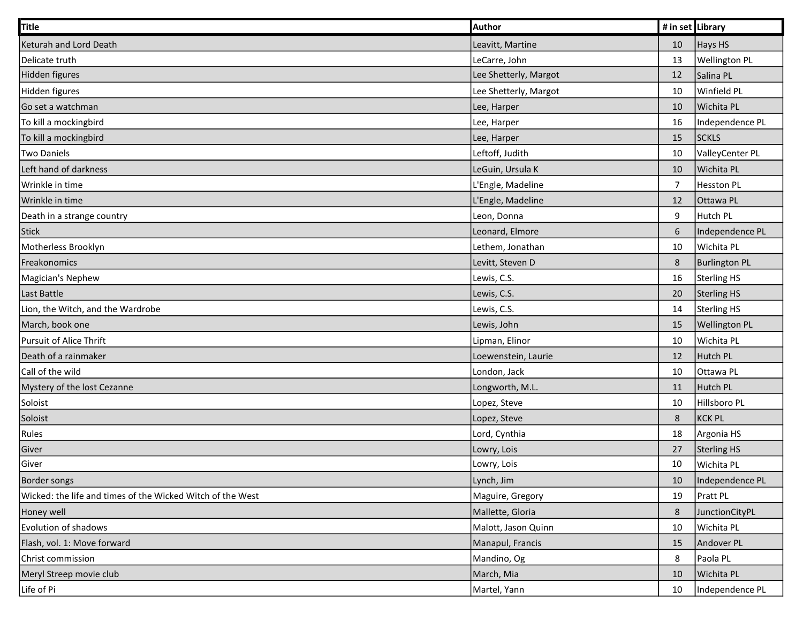| Title                                                      | Author                | # in set Library |                      |
|------------------------------------------------------------|-----------------------|------------------|----------------------|
| Keturah and Lord Death                                     | Leavitt, Martine      | 10               | Hays HS              |
| Delicate truth                                             | LeCarre, John         | 13               | <b>Wellington PL</b> |
| Hidden figures                                             | Lee Shetterly, Margot | 12               | Salina PL            |
| Hidden figures                                             | Lee Shetterly, Margot | 10               | Winfield PL          |
| Go set a watchman                                          | Lee, Harper           | 10               | Wichita PL           |
| To kill a mockingbird                                      | Lee, Harper           | 16               | Independence PL      |
| To kill a mockingbird                                      | Lee, Harper           | 15               | <b>SCKLS</b>         |
| <b>Two Daniels</b>                                         | Leftoff, Judith       | 10               | ValleyCenter PL      |
| Left hand of darkness                                      | LeGuin, Ursula K      | 10               | Wichita PL           |
| Wrinkle in time                                            | L'Engle, Madeline     | $\overline{7}$   | Hesston PL           |
| Wrinkle in time                                            | L'Engle, Madeline     | 12               | Ottawa PL            |
| Death in a strange country                                 | Leon, Donna           | 9                | Hutch PL             |
| <b>Stick</b>                                               | Leonard, Elmore       | $\sqrt{6}$       | Independence PL      |
| Motherless Brooklyn                                        | Lethem, Jonathan      | 10               | Wichita PL           |
| Freakonomics                                               | Levitt, Steven D      | $\,8\,$          | <b>Burlington PL</b> |
| Magician's Nephew                                          | Lewis, C.S.           | 16               | Sterling HS          |
| Last Battle                                                | Lewis, C.S.           | 20               | Sterling HS          |
| Lion, the Witch, and the Wardrobe                          | Lewis, C.S.           | 14               | Sterling HS          |
| March, book one                                            | Lewis, John           | 15               | <b>Wellington PL</b> |
| Pursuit of Alice Thrift                                    | Lipman, Elinor        | 10               | Wichita PL           |
| Death of a rainmaker                                       | Loewenstein, Laurie   | 12               | Hutch PL             |
| Call of the wild                                           | London, Jack          | 10               | Ottawa PL            |
| Mystery of the lost Cezanne                                | Longworth, M.L.       | 11               | Hutch PL             |
| Soloist                                                    | Lopez, Steve          | 10               | Hillsboro PL         |
| Soloist                                                    | Lopez, Steve          | 8                | KCK PL               |
| Rules                                                      | Lord, Cynthia         | 18               | Argonia HS           |
| Giver                                                      | Lowry, Lois           | 27               | Sterling HS          |
| Giver                                                      | Lowry, Lois           | 10               | Wichita PL           |
| <b>Border songs</b>                                        | Lynch, Jim            | 10               | Independence PL      |
| Wicked: the life and times of the Wicked Witch of the West | Maguire, Gregory      | 19               | Pratt PL             |
| Honey well                                                 | Mallette, Gloria      | $\,8\,$          | JunctionCityPL       |
| Evolution of shadows                                       | Malott, Jason Quinn   | 10               | Wichita PL           |
| Flash, vol. 1: Move forward                                | Manapul, Francis      | 15               | Andover PL           |
| Christ commission                                          | Mandino, Og           | 8                | Paola PL             |
| Meryl Streep movie club                                    | March, Mia            | 10               | Wichita PL           |
| Life of Pi                                                 | Martel, Yann          | 10               | Independence PL      |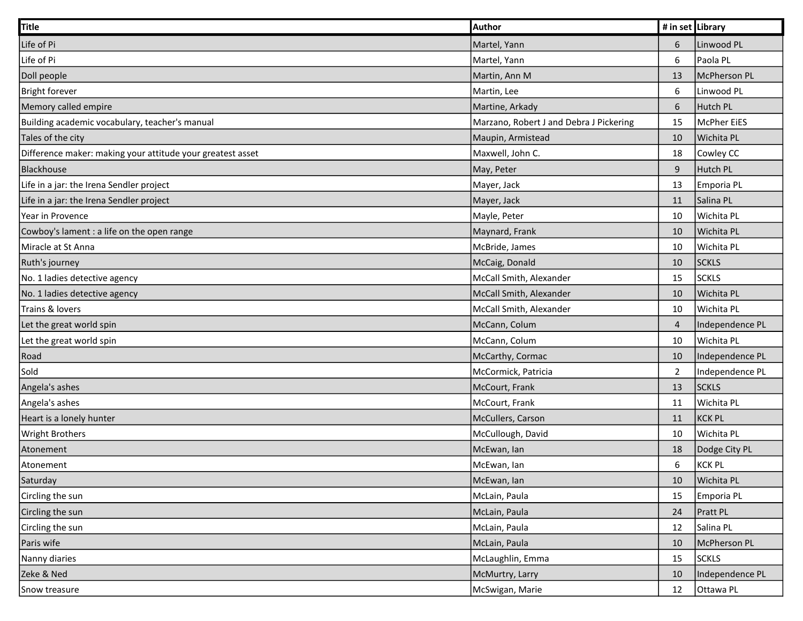| <b>Title</b>                                               | <b>Author</b>                           | # in set Library |                    |
|------------------------------------------------------------|-----------------------------------------|------------------|--------------------|
| Life of Pi                                                 | Martel, Yann                            | 6                | Linwood PL         |
| Life of Pi                                                 | Martel, Yann                            | $\boldsymbol{6}$ | Paola PL           |
| Doll people                                                | Martin, Ann M                           | 13               | McPherson PL       |
| Bright forever                                             | Martin, Lee                             | $\boldsymbol{6}$ | Linwood PL         |
| Memory called empire                                       | Martine, Arkady                         | $\boldsymbol{6}$ | Hutch PL           |
| Building academic vocabulary, teacher's manual             | Marzano, Robert J and Debra J Pickering | 15               | <b>McPher EiES</b> |
| Tales of the city                                          | Maupin, Armistead                       | 10               | Wichita PL         |
| Difference maker: making your attitude your greatest asset | Maxwell, John C.                        | 18               | Cowley CC          |
| Blackhouse                                                 | May, Peter                              | 9                | Hutch PL           |
| Life in a jar: the Irena Sendler project                   | Mayer, Jack                             | 13               | Emporia PL         |
| Life in a jar: the Irena Sendler project                   | Mayer, Jack                             | 11               | Salina PL          |
| Year in Provence                                           | Mayle, Peter                            | 10               | Wichita PL         |
| Cowboy's lament : a life on the open range                 | Maynard, Frank                          | 10               | Wichita PL         |
| Miracle at St Anna                                         | McBride, James                          | 10               | Wichita PL         |
| Ruth's journey                                             | McCaig, Donald                          | 10               | <b>SCKLS</b>       |
| No. 1 ladies detective agency                              | McCall Smith, Alexander                 | 15               | <b>SCKLS</b>       |
| No. 1 ladies detective agency                              | McCall Smith, Alexander                 | 10               | Wichita PL         |
| Trains & lovers                                            | McCall Smith, Alexander                 | 10               | Wichita PL         |
| Let the great world spin                                   | McCann, Colum                           | 4                | Independence PL    |
| Let the great world spin                                   | McCann, Colum                           | 10               | Wichita PL         |
| Road                                                       | McCarthy, Cormac                        | 10               | Independence PL    |
| Sold                                                       | McCormick, Patricia                     | $\overline{2}$   | Independence PL    |
| Angela's ashes                                             | McCourt, Frank                          | 13               | <b>SCKLS</b>       |
| Angela's ashes                                             | McCourt, Frank                          | 11               | Wichita PL         |
| Heart is a lonely hunter                                   | McCullers, Carson                       | 11               | KCK PL             |
| <b>Wright Brothers</b>                                     | McCullough, David                       | 10               | Wichita PL         |
| Atonement                                                  | McEwan, lan                             | 18               | Dodge City PL      |
| Atonement                                                  | McEwan, lan                             | 6                | KCK PL             |
| Saturday                                                   | McEwan, lan                             | 10               | Wichita PL         |
| Circling the sun                                           | McLain, Paula                           | 15               | Emporia PL         |
| Circling the sun                                           | McLain, Paula                           | 24               | Pratt PL           |
| Circling the sun                                           | McLain, Paula                           | 12               | Salina PL          |
| Paris wife                                                 | McLain, Paula                           | 10               | McPherson PL       |
| Nanny diaries                                              | McLaughlin, Emma                        | 15               | <b>SCKLS</b>       |
| Zeke & Ned                                                 | McMurtry, Larry                         | 10               | Independence PL    |
| Snow treasure                                              | McSwigan, Marie                         | 12               | Ottawa PL          |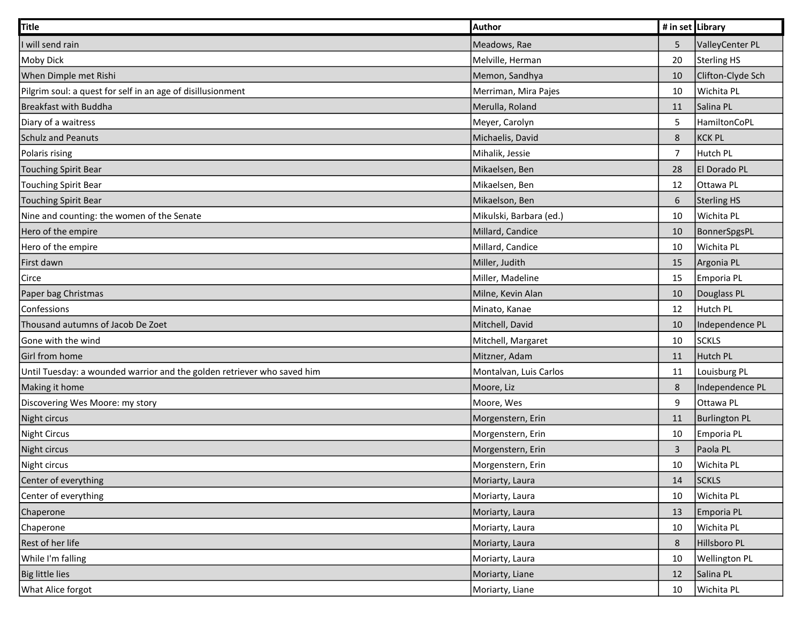| <b>Title</b>                                                            | Author                  | # in set Library |                      |
|-------------------------------------------------------------------------|-------------------------|------------------|----------------------|
| will send rain                                                          | Meadows, Rae            | 5                | ValleyCenter PL      |
| <b>Moby Dick</b>                                                        | Melville, Herman        | 20               | Sterling HS          |
| When Dimple met Rishi                                                   | Memon, Sandhya          | 10               | Clifton-Clyde Sch    |
| Pilgrim soul: a quest for self in an age of disillusionment             | Merriman, Mira Pajes    | 10               | Wichita PL           |
| <b>Breakfast with Buddha</b>                                            | Merulla, Roland         | 11               | Salina PL            |
| Diary of a waitress                                                     | Meyer, Carolyn          | 5                | HamiltonCoPL         |
| <b>Schulz and Peanuts</b>                                               | Michaelis, David        | $\,8\,$          | <b>KCK PL</b>        |
| Polaris rising                                                          | Mihalik, Jessie         | $\overline{7}$   | Hutch PL             |
| <b>Touching Spirit Bear</b>                                             | Mikaelsen, Ben          | 28               | El Dorado PL         |
| <b>Touching Spirit Bear</b>                                             | Mikaelsen, Ben          | 12               | Ottawa PL            |
| <b>Touching Spirit Bear</b>                                             | Mikaelson, Ben          | 6                | Sterling HS          |
| Nine and counting: the women of the Senate                              | Mikulski, Barbara (ed.) | 10               | Wichita PL           |
| Hero of the empire                                                      | Millard, Candice        | 10               | BonnerSpgsPL         |
| Hero of the empire                                                      | Millard, Candice        | 10               | Wichita PL           |
| First dawn                                                              | Miller, Judith          | 15               | Argonia PL           |
| Circe                                                                   | Miller, Madeline        | 15               | Emporia PL           |
| Paper bag Christmas                                                     | Milne, Kevin Alan       | 10               | Douglass PL          |
| Confessions                                                             | Minato, Kanae           | 12               | Hutch PL             |
| Thousand autumns of Jacob De Zoet                                       | Mitchell, David         | 10               | Independence PL      |
| Gone with the wind                                                      | Mitchell, Margaret      | 10               | <b>SCKLS</b>         |
| Girl from home                                                          | Mitzner, Adam           | 11               | Hutch PL             |
| Until Tuesday: a wounded warrior and the golden retriever who saved him | Montalvan, Luis Carlos  | 11               | Louisburg PL         |
| Making it home                                                          | Moore, Liz              | 8                | Independence PL      |
| Discovering Wes Moore: my story                                         | Moore, Wes              | $\boldsymbol{9}$ | Ottawa PL            |
| Night circus                                                            | Morgenstern, Erin       | 11               | <b>Burlington PL</b> |
| <b>Night Circus</b>                                                     | Morgenstern, Erin       | 10               | Emporia PL           |
| Night circus                                                            | Morgenstern, Erin       | $\overline{3}$   | Paola PL             |
| Night circus                                                            | Morgenstern, Erin       | 10               | Wichita PL           |
| Center of everything                                                    | Moriarty, Laura         | 14               | <b>SCKLS</b>         |
| Center of everything                                                    | Moriarty, Laura         | 10               | Wichita PL           |
| Chaperone                                                               | Moriarty, Laura         | 13               | Emporia PL           |
| Chaperone                                                               | Moriarty, Laura         | 10               | Wichita PL           |
| Rest of her life                                                        | Moriarty, Laura         | $\,8\,$          | Hillsboro PL         |
| While I'm falling                                                       | Moriarty, Laura         | 10               | <b>Wellington PL</b> |
| <b>Big little lies</b>                                                  | Moriarty, Liane         | 12               | Salina PL            |
| What Alice forgot                                                       | Moriarty, Liane         | 10               | Wichita PL           |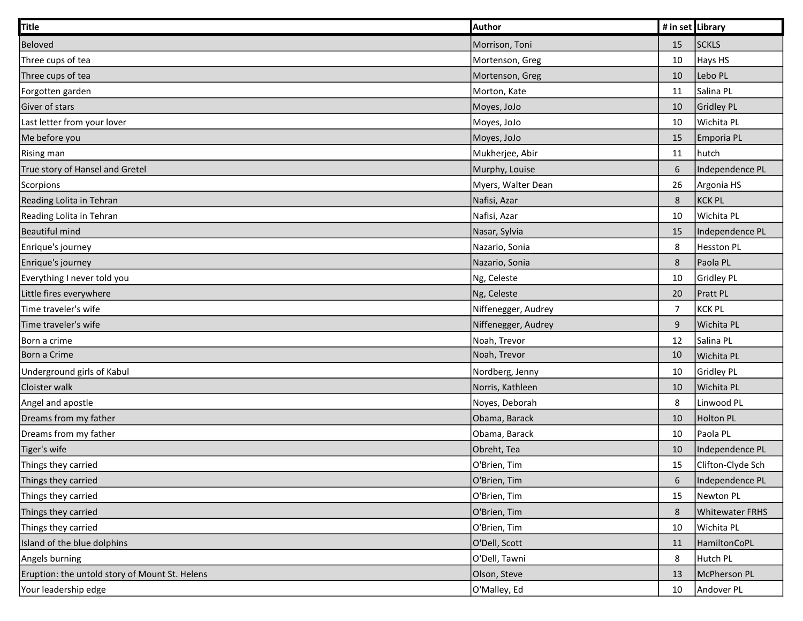| Title                                          | Author              | # in set Library |                        |
|------------------------------------------------|---------------------|------------------|------------------------|
| Beloved                                        | Morrison, Toni      | 15               | <b>SCKLS</b>           |
| Three cups of tea                              | Mortenson, Greg     | 10               | Hays HS                |
| Three cups of tea                              | Mortenson, Greg     | 10               | Lebo PL                |
| Forgotten garden                               | Morton, Kate        | 11               | Salina PL              |
| Giver of stars                                 | Moyes, JoJo         | 10               | Gridley PL             |
| Last letter from your lover                    | Moyes, JoJo         | 10               | Wichita PL             |
| Me before you                                  | Moyes, JoJo         | 15               | Emporia PL             |
| <b>Rising man</b>                              | Mukherjee, Abir     | 11               | hutch                  |
| True story of Hansel and Gretel                | Murphy, Louise      | 6                | Independence PL        |
| Scorpions                                      | Myers, Walter Dean  | 26               | Argonia HS             |
| Reading Lolita in Tehran                       | Nafisi, Azar        | $\,8\,$          | <b>KCK PL</b>          |
| Reading Lolita in Tehran                       | Nafisi, Azar        | 10               | Wichita PL             |
| <b>Beautiful mind</b>                          | Nasar, Sylvia       | 15               | Independence PL        |
| Enrique's journey                              | Nazario, Sonia      | 8                | <b>Hesston PL</b>      |
| Enrique's journey                              | Nazario, Sonia      | $\,8\,$          | Paola PL               |
| Everything I never told you                    | Ng, Celeste         | 10               | <b>Gridley PL</b>      |
| Little fires everywhere                        | Ng, Celeste         | 20               | Pratt PL               |
| Time traveler's wife                           | Niffenegger, Audrey | $\overline{7}$   | <b>KCK PL</b>          |
| Time traveler's wife                           | Niffenegger, Audrey | $\boldsymbol{9}$ | Wichita PL             |
| Born a crime                                   | Noah, Trevor        | 12               | Salina PL              |
| Born a Crime                                   | Noah, Trevor        | 10               | Wichita PL             |
| Underground girls of Kabul                     | Nordberg, Jenny     | 10               | <b>Gridley PL</b>      |
| Cloister walk                                  | Norris, Kathleen    | 10               | Wichita PL             |
| Angel and apostle                              | Noyes, Deborah      | 8                | Linwood PL             |
| Dreams from my father                          | Obama, Barack       | 10               | <b>Holton PL</b>       |
| Dreams from my father                          | Obama, Barack       | 10               | Paola PL               |
| Tiger's wife                                   | Obreht, Tea         | 10               | Independence PL        |
| Things they carried                            | O'Brien, Tim        | 15               | Clifton-Clyde Sch      |
| Things they carried                            | O'Brien, Tim        | $\sqrt{6}$       | Independence PL        |
| Things they carried                            | O'Brien, Tim        | 15               | Newton PL              |
| Things they carried                            | O'Brien, Tim        | $\,$ 8 $\,$      | <b>Whitewater FRHS</b> |
| Things they carried                            | O'Brien, Tim        | 10               | Wichita PL             |
| Island of the blue dolphins                    | O'Dell, Scott       | 11               | HamiltonCoPL           |
| Angels burning                                 | O'Dell, Tawni       | 8                | Hutch PL               |
| Eruption: the untold story of Mount St. Helens | Olson, Steve        | 13               | McPherson PL           |
| Your leadership edge                           | O'Malley, Ed        | 10               | Andover PL             |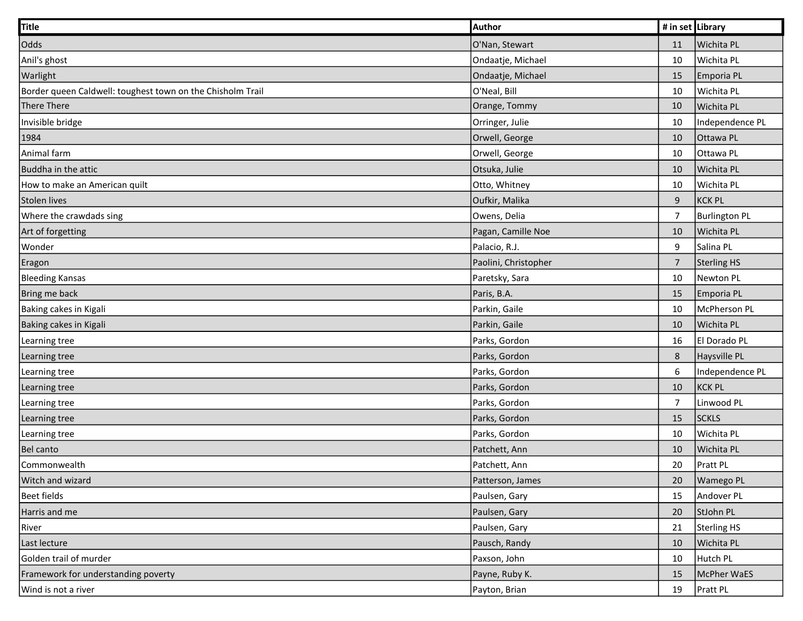| <b>Title</b>                                               | Author               | # in set Library |                      |
|------------------------------------------------------------|----------------------|------------------|----------------------|
| Odds                                                       | O'Nan, Stewart       | 11               | Wichita PL           |
| Anil's ghost                                               | Ondaatje, Michael    | 10               | Wichita PL           |
| Warlight                                                   | Ondaatje, Michael    | 15               | Emporia PL           |
| Border queen Caldwell: toughest town on the Chisholm Trail | O'Neal, Bill         | 10               | Wichita PL           |
| There There                                                | Orange, Tommy        | 10               | Wichita PL           |
| Invisible bridge                                           | Orringer, Julie      | 10               | Independence PL      |
| 1984                                                       | Orwell, George       | 10               | Ottawa PL            |
| Animal farm                                                | Orwell, George       | 10               | Ottawa PL            |
| Buddha in the attic                                        | Otsuka, Julie        | 10               | Wichita PL           |
| How to make an American quilt                              | Otto, Whitney        | 10               | Wichita PL           |
| <b>Stolen lives</b>                                        | Oufkir, Malika       | $\boldsymbol{9}$ | KCK PL               |
| Where the crawdads sing                                    | Owens, Delia         | $\overline{7}$   | <b>Burlington PL</b> |
| Art of forgetting                                          | Pagan, Camille Noe   | 10               | Wichita PL           |
| Wonder                                                     | Palacio, R.J.        | 9                | Salina PL            |
| Eragon                                                     | Paolini, Christopher | $\overline{7}$   | <b>Sterling HS</b>   |
| <b>Bleeding Kansas</b>                                     | Paretsky, Sara       | 10               | Newton PL            |
| Bring me back                                              | Paris, B.A.          | 15               | Emporia PL           |
| Baking cakes in Kigali                                     | Parkin, Gaile        | 10               | McPherson PL         |
| Baking cakes in Kigali                                     | Parkin, Gaile        | 10               | Wichita PL           |
| Learning tree                                              | Parks, Gordon        | 16               | El Dorado PL         |
| Learning tree                                              | Parks, Gordon        | 8                | Haysville PL         |
| Learning tree                                              | Parks, Gordon        | 6                | Independence PL      |
| Learning tree                                              | Parks, Gordon        | 10               | KCK PL               |
| Learning tree                                              | Parks, Gordon        | 7                | Linwood PL           |
| Learning tree                                              | Parks, Gordon        | 15               | <b>SCKLS</b>         |
| Learning tree                                              | Parks, Gordon        | 10               | Wichita PL           |
| <b>Bel canto</b>                                           | Patchett, Ann        | 10               | <b>Wichita PL</b>    |
| Commonwealth                                               | Patchett, Ann        | 20               | Pratt PL             |
| Witch and wizard                                           | Patterson, James     | 20               | <b>Wamego PL</b>     |
| <b>Beet fields</b>                                         | Paulsen, Gary        | 15               | Andover PL           |
| Harris and me                                              | Paulsen, Gary        | 20               | StJohn PL            |
| River                                                      | Paulsen, Gary        | 21               | Sterling HS          |
| Last lecture                                               | Pausch, Randy        | 10               | Wichita PL           |
| Golden trail of murder                                     | Paxson, John         | 10               | Hutch PL             |
| Framework for understanding poverty                        | Payne, Ruby K.       | 15               | McPher WaES          |
| Wind is not a river                                        | Payton, Brian        | 19               | Pratt PL             |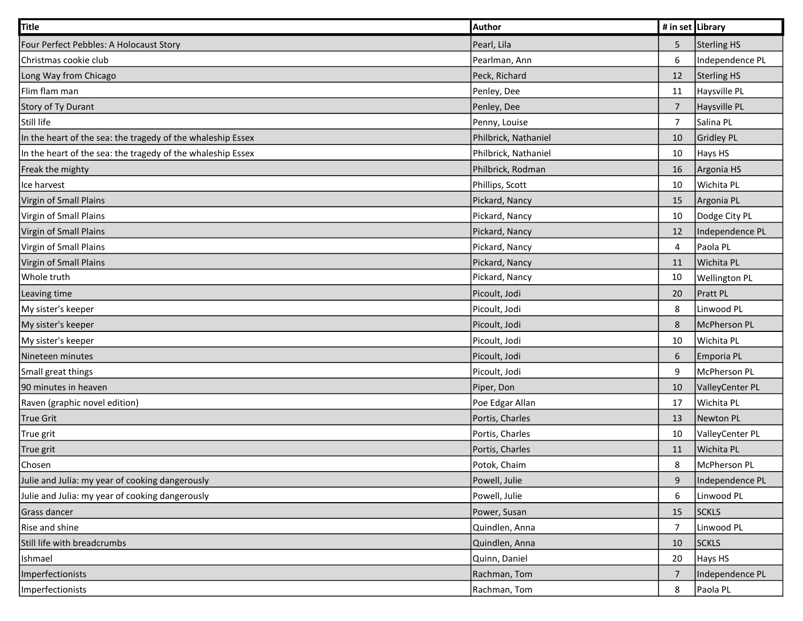| Title                                                       | <b>Author</b>        | # in set Library |                      |
|-------------------------------------------------------------|----------------------|------------------|----------------------|
| Four Perfect Pebbles: A Holocaust Story                     | Pearl, Lila          | 5                | Sterling HS          |
| Christmas cookie club                                       | Pearlman, Ann        | 6                | Independence PL      |
| Long Way from Chicago                                       | Peck, Richard        | 12               | <b>Sterling HS</b>   |
| Flim flam man                                               | Penley, Dee          | 11               | Haysville PL         |
| Story of Ty Durant                                          | Penley, Dee          | $\overline{7}$   | Haysville PL         |
| Still life                                                  | Penny, Louise        | $\overline{7}$   | Salina PL            |
| In the heart of the sea: the tragedy of the whaleship Essex | Philbrick, Nathaniel | 10               | Gridley PL           |
| In the heart of the sea: the tragedy of the whaleship Essex | Philbrick, Nathaniel | 10               | Hays HS              |
| Freak the mighty                                            | Philbrick, Rodman    | 16               | Argonia HS           |
| Ice harvest                                                 | Phillips, Scott      | 10               | Wichita PL           |
| Virgin of Small Plains                                      | Pickard, Nancy       | 15               | Argonia PL           |
| Virgin of Small Plains                                      | Pickard, Nancy       | 10               | Dodge City PL        |
| Virgin of Small Plains                                      | Pickard, Nancy       | 12               | Independence PL      |
| Virgin of Small Plains                                      | Pickard, Nancy       | 4                | Paola PL             |
| Virgin of Small Plains                                      | Pickard, Nancy       | 11               | Wichita PL           |
| Whole truth                                                 | Pickard, Nancy       | 10               | <b>Wellington PL</b> |
| Leaving time                                                | Picoult, Jodi        | 20               | <b>Pratt PL</b>      |
| My sister's keeper                                          | Picoult, Jodi        | 8                | Linwood PL           |
| My sister's keeper                                          | Picoult, Jodi        | 8                | McPherson PL         |
| My sister's keeper                                          | Picoult, Jodi        | 10               | Wichita PL           |
| Nineteen minutes                                            | Picoult, Jodi        | 6                | Emporia PL           |
| Small great things                                          | Picoult, Jodi        | 9                | McPherson PL         |
| 90 minutes in heaven                                        | Piper, Don           | 10               | ValleyCenter PL      |
| Raven (graphic novel edition)                               | Poe Edgar Allan      | 17               | Wichita PL           |
| True Grit                                                   | Portis, Charles      | 13               | Newton PL            |
| True grit                                                   | Portis, Charles      | 10               | ValleyCenter PL      |
| True grit                                                   | Portis, Charles      | 11               | Wichita PL           |
| Chosen                                                      | Potok, Chaim         | 8                | McPherson PL         |
| Julie and Julia: my year of cooking dangerously             | Powell, Julie        | $\boldsymbol{9}$ | Independence PL      |
| Julie and Julia: my year of cooking dangerously             | Powell, Julie        | 6                | Linwood PL           |
| Grass dancer                                                | Power, Susan         | 15               | <b>SCKLS</b>         |
| Rise and shine                                              | Quindlen, Anna       | $\overline{7}$   | Linwood PL           |
| Still life with breadcrumbs                                 | Quindlen, Anna       | 10               | <b>SCKLS</b>         |
| Ishmael                                                     | Quinn, Daniel        | 20               | Hays HS              |
| Imperfectionists                                            | Rachman, Tom         | $\overline{7}$   | Independence PL      |
| Imperfectionists                                            | Rachman, Tom         | 8                | Paola PL             |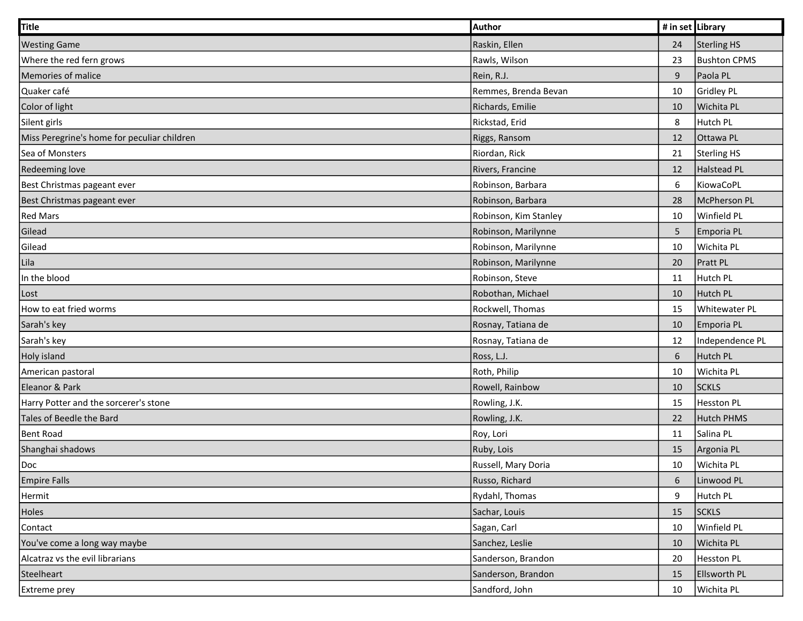| <b>Title</b>                                | Author                | # in set Library |                     |
|---------------------------------------------|-----------------------|------------------|---------------------|
| <b>Westing Game</b>                         | Raskin, Ellen         | 24               | Sterling HS         |
| Where the red fern grows                    | Rawls, Wilson         | 23               | <b>Bushton CPMS</b> |
| Memories of malice                          | Rein, R.J.            | 9                | Paola PL            |
| Quaker café                                 | Remmes, Brenda Bevan  | 10               | Gridley PL          |
| Color of light                              | Richards, Emilie      | 10               | Wichita PL          |
| Silent girls                                | Rickstad, Erid        | 8                | Hutch PL            |
| Miss Peregrine's home for peculiar children | Riggs, Ransom         | 12               | Ottawa PL           |
| Sea of Monsters                             | Riordan, Rick         | 21               | Sterling HS         |
| <b>Redeeming love</b>                       | Rivers, Francine      | 12               | Halstead PL         |
| Best Christmas pageant ever                 | Robinson, Barbara     | 6                | KiowaCoPL           |
| Best Christmas pageant ever                 | Robinson, Barbara     | 28               | McPherson PL        |
| <b>Red Mars</b>                             | Robinson, Kim Stanley | 10               | Winfield PL         |
| Gilead                                      | Robinson, Marilynne   | 5                | Emporia PL          |
| Gilead                                      | Robinson, Marilynne   | 10               | Wichita PL          |
| Lila                                        | Robinson, Marilynne   | 20               | Pratt PL            |
| In the blood                                | Robinson, Steve       | 11               | Hutch PL            |
| Lost                                        | Robothan, Michael     | 10               | Hutch PL            |
| How to eat fried worms                      | Rockwell, Thomas      | 15               | Whitewater PL       |
| Sarah's key                                 | Rosnay, Tatiana de    | 10               | Emporia PL          |
| Sarah's key                                 | Rosnay, Tatiana de    | 12               | Independence PL     |
| Holy island                                 | Ross, L.J.            | 6                | Hutch PL            |
| American pastoral                           | Roth, Philip          | 10               | Wichita PL          |
| Eleanor & Park                              | Rowell, Rainbow       | 10               | <b>SCKLS</b>        |
| Harry Potter and the sorcerer's stone       | Rowling, J.K.         | 15               | <b>Hesston PL</b>   |
| Tales of Beedle the Bard                    | Rowling, J.K.         | 22               | Hutch PHMS          |
| Bent Road                                   | Roy, Lori             | 11               | Salina PL           |
| Shanghai shadows                            | Ruby, Lois            | 15               | Argonia PL          |
| Doc                                         | Russell, Mary Doria   | 10               | Wichita PL          |
| <b>Empire Falls</b>                         | Russo, Richard        | 6                | Linwood PL          |
| Hermit                                      | Rydahl, Thomas        | 9                | Hutch PL            |
| Holes                                       | Sachar, Louis         | 15               | <b>SCKLS</b>        |
| Contact                                     | Sagan, Carl           | 10               | Winfield PL         |
| You've come a long way maybe                | Sanchez, Leslie       | 10               | Wichita PL          |
| Alcatraz vs the evil librarians             | Sanderson, Brandon    | 20               | Hesston PL          |
| Steelheart                                  | Sanderson, Brandon    | 15               | <b>Ellsworth PL</b> |
| Extreme prey                                | Sandford, John        | 10               | Wichita PL          |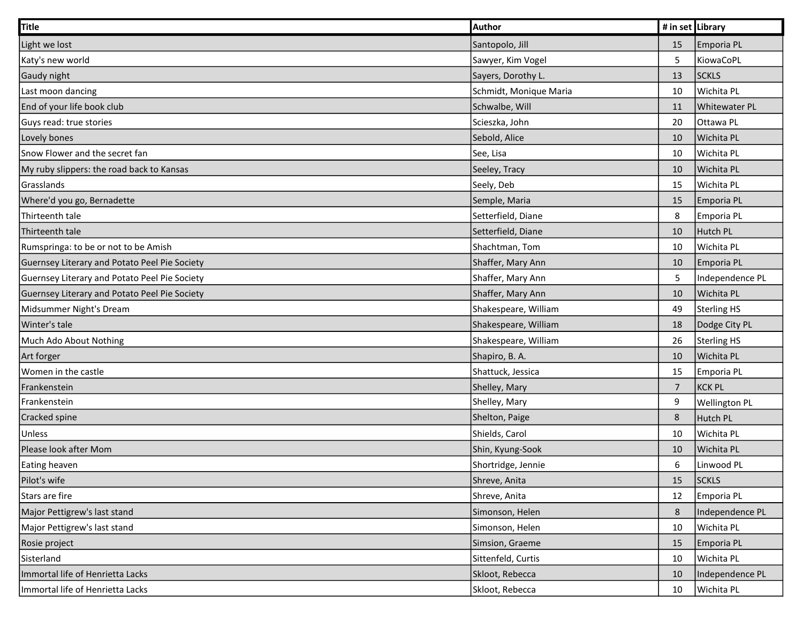| Title                                         | Author                 | # in set Library |                      |
|-----------------------------------------------|------------------------|------------------|----------------------|
| Light we lost                                 | Santopolo, Jill        | 15               | Emporia PL           |
| Katy's new world                              | Sawyer, Kim Vogel      | $\overline{5}$   | KiowaCoPL            |
| Gaudy night                                   | Sayers, Dorothy L.     | 13               | <b>SCKLS</b>         |
| Last moon dancing                             | Schmidt, Monique Maria | 10               | Wichita PL           |
| End of your life book club                    | Schwalbe, Will         | 11               | <b>Whitewater PL</b> |
| Guys read: true stories                       | Scieszka, John         | 20               | Ottawa PL            |
| Lovely bones                                  | Sebold, Alice          | 10               | Wichita PL           |
| Snow Flower and the secret fan                | See, Lisa              | 10               | Wichita PL           |
| My ruby slippers: the road back to Kansas     | Seeley, Tracy          | 10               | Wichita PL           |
| Grasslands                                    | Seely, Deb             | 15               | Wichita PL           |
| Where'd you go, Bernadette                    | Semple, Maria          | 15               | Emporia PL           |
| Thirteenth tale                               | Setterfield, Diane     | 8                | Emporia PL           |
| Thirteenth tale                               | Setterfield, Diane     | 10               | Hutch PL             |
| Rumspringa: to be or not to be Amish          | Shachtman, Tom         | 10               | Wichita PL           |
| Guernsey Literary and Potato Peel Pie Society | Shaffer, Mary Ann      | 10               | Emporia PL           |
| Guernsey Literary and Potato Peel Pie Society | Shaffer, Mary Ann      | $\overline{5}$   | Independence PL      |
| Guernsey Literary and Potato Peel Pie Society | Shaffer, Mary Ann      | 10               | Wichita PL           |
| Midsummer Night's Dream                       | Shakespeare, William   | 49               | Sterling HS          |
| Winter's tale                                 | Shakespeare, William   | 18               | Dodge City PL        |
| Much Ado About Nothing                        | Shakespeare, William   | 26               | Sterling HS          |
| Art forger                                    | Shapiro, B.A.          | 10               | Wichita PL           |
| Women in the castle                           | Shattuck, Jessica      | 15               | Emporia PL           |
| Frankenstein                                  | Shelley, Mary          | $\overline{7}$   | <b>KCK PL</b>        |
| Frankenstein                                  | Shelley, Mary          | 9                | <b>Wellington PL</b> |
| Cracked spine                                 | Shelton, Paige         | $\bf 8$          | Hutch PL             |
| Unless                                        | Shields, Carol         | 10               | Wichita PL           |
| Please look after Mom                         | Shin, Kyung-Sook       | 10               | Wichita PL           |
| Eating heaven                                 | Shortridge, Jennie     | 6                | Linwood PL           |
| Pilot's wife                                  | Shreve, Anita          | 15               | <b>SCKLS</b>         |
| Stars are fire                                | Shreve, Anita          | 12               | Emporia PL           |
| Major Pettigrew's last stand                  | Simonson, Helen        | $\,8\,$          | Independence PL      |
| Major Pettigrew's last stand                  | Simonson, Helen        | 10               | Wichita PL           |
| Rosie project                                 | Simsion, Graeme        | 15               | Emporia PL           |
| Sisterland                                    | Sittenfeld, Curtis     | 10               | Wichita PL           |
| Immortal life of Henrietta Lacks              | Skloot, Rebecca        | 10               | Independence PL      |
| Immortal life of Henrietta Lacks              | Skloot, Rebecca        | 10               | Wichita PL           |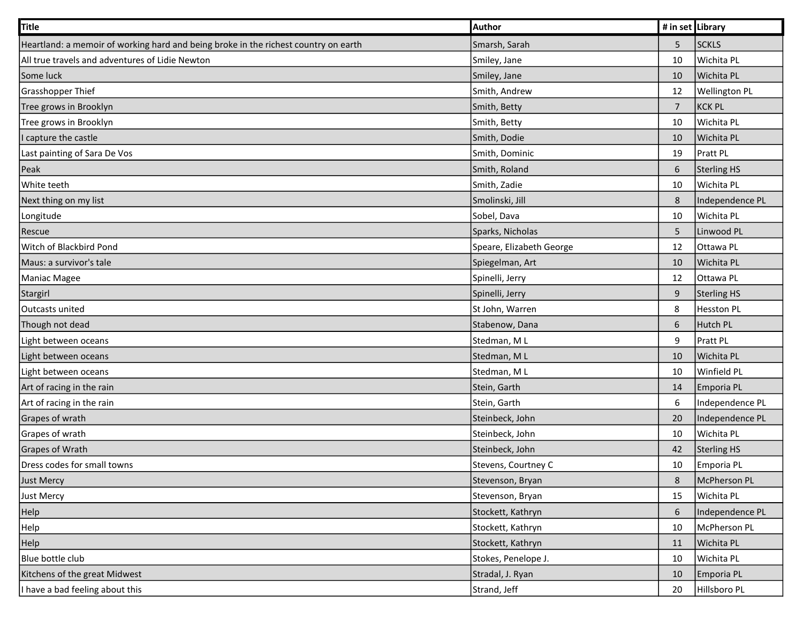| Title                                                                               | Author                   | # in set Library |                      |
|-------------------------------------------------------------------------------------|--------------------------|------------------|----------------------|
| Heartland: a memoir of working hard and being broke in the richest country on earth | Smarsh, Sarah            | 5                | <b>SCKLS</b>         |
| All true travels and adventures of Lidie Newton                                     | Smiley, Jane             | 10               | Wichita PL           |
| Some luck                                                                           | Smiley, Jane             | 10               | Wichita PL           |
| Grasshopper Thief                                                                   | Smith, Andrew            | 12               | <b>Wellington PL</b> |
| Tree grows in Brooklyn                                                              | Smith, Betty             | $\overline{7}$   | KCK PL               |
| Tree grows in Brooklyn                                                              | Smith, Betty             | 10               | Wichita PL           |
| I capture the castle                                                                | Smith, Dodie             | 10               | Wichita PL           |
| Last painting of Sara De Vos                                                        | Smith, Dominic           | 19               | Pratt PL             |
| Peak                                                                                | Smith, Roland            | 6                | Sterling HS          |
| White teeth                                                                         | Smith, Zadie             | 10               | Wichita PL           |
| Next thing on my list                                                               | Smolinski, Jill          | 8                | Independence PL      |
| Longitude                                                                           | Sobel, Dava              | 10               | Wichita PL           |
| Rescue                                                                              | Sparks, Nicholas         | 5                | Linwood PL           |
| Witch of Blackbird Pond                                                             | Speare, Elizabeth George | 12               | Ottawa PL            |
| Maus: a survivor's tale                                                             | Spiegelman, Art          | 10               | Wichita PL           |
| Maniac Magee                                                                        | Spinelli, Jerry          | 12               | Ottawa PL            |
| Stargirl                                                                            | Spinelli, Jerry          | 9                | Sterling HS          |
| Outcasts united                                                                     | St John, Warren          | 8                | Hesston PL           |
| Though not dead                                                                     | Stabenow, Dana           | 6                | Hutch PL             |
| Light between oceans                                                                | Stedman, ML              | 9                | Pratt PL             |
| Light between oceans                                                                | Stedman, ML              | 10               | Wichita PL           |
| Light between oceans                                                                | Stedman, ML              | 10               | Winfield PL          |
| Art of racing in the rain                                                           | Stein, Garth             | 14               | Emporia PL           |
| Art of racing in the rain                                                           | Stein, Garth             | 6                | Independence PL      |
| Grapes of wrath                                                                     | Steinbeck, John          | 20               | Independence PL      |
| Grapes of wrath                                                                     | Steinbeck, John          | 10               | Wichita PL           |
| <b>Grapes of Wrath</b>                                                              | Steinbeck, John          | 42               | Sterling HS          |
| Dress codes for small towns                                                         | Stevens, Courtney C      | 10               | Emporia PL           |
| <b>Just Mercy</b>                                                                   | Stevenson, Bryan         | $\bf 8$          | McPherson PL         |
| Just Mercy                                                                          | Stevenson, Bryan         | 15               | Wichita PL           |
| Help                                                                                | Stockett, Kathryn        | 6                | Independence PL      |
| Help                                                                                | Stockett, Kathryn        | 10               | McPherson PL         |
| Help                                                                                | Stockett, Kathryn        | 11               | Wichita PL           |
| Blue bottle club                                                                    | Stokes, Penelope J.      | 10               | Wichita PL           |
| Kitchens of the great Midwest                                                       | Stradal, J. Ryan         | 10               | Emporia PL           |
| I have a bad feeling about this                                                     | Strand, Jeff             | 20               | Hillsboro PL         |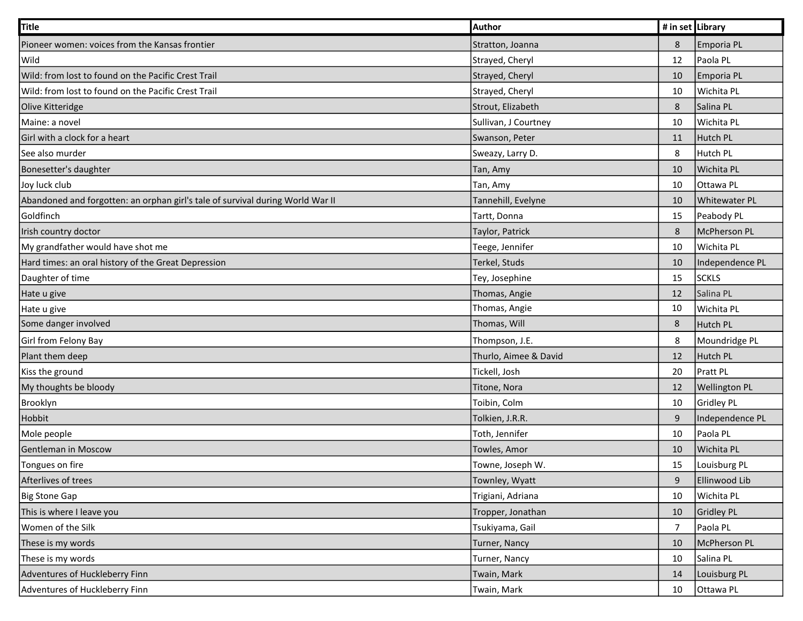| Title                                                                          | <b>Author</b>         | # in set Library |                      |
|--------------------------------------------------------------------------------|-----------------------|------------------|----------------------|
| Pioneer women: voices from the Kansas frontier                                 | Stratton, Joanna      | 8                | Emporia PL           |
| Wild                                                                           | Strayed, Cheryl       | 12               | Paola PL             |
| Wild: from lost to found on the Pacific Crest Trail                            | Strayed, Cheryl       | 10               | Emporia PL           |
| Wild: from lost to found on the Pacific Crest Trail                            | Strayed, Cheryl       | 10               | Wichita PL           |
| Olive Kitteridge                                                               | Strout, Elizabeth     | 8                | Salina PL            |
| Maine: a novel                                                                 | Sullivan, J Courtney  | 10               | Wichita PL           |
| Girl with a clock for a heart                                                  | Swanson, Peter        | 11               | Hutch PL             |
| See also murder                                                                | Sweazy, Larry D.      | 8                | Hutch PL             |
| Bonesetter's daughter                                                          | Tan, Amy              | 10               | Wichita PL           |
| Joy luck club                                                                  | Tan, Amy              | 10               | Ottawa PL            |
| Abandoned and forgotten: an orphan girl's tale of survival during World War II | Tannehill, Evelyne    | 10               | Whitewater PL        |
| Goldfinch                                                                      | Tartt, Donna          | 15               | Peabody PL           |
| Irish country doctor                                                           | Taylor, Patrick       | $\,8\,$          | McPherson PL         |
| My grandfather would have shot me                                              | Teege, Jennifer       | 10               | Wichita PL           |
| Hard times: an oral history of the Great Depression                            | Terkel, Studs         | 10               | Independence PL      |
| Daughter of time                                                               | Tey, Josephine        | 15               | <b>SCKLS</b>         |
| Hate u give                                                                    | Thomas, Angie         | 12               | Salina PL            |
| Hate u give                                                                    | Thomas, Angie         | 10               | Wichita PL           |
| Some danger involved                                                           | Thomas, Will          | 8                | Hutch PL             |
| Girl from Felony Bay                                                           | Thompson, J.E.        | 8                | Moundridge PL        |
| Plant them deep                                                                | Thurlo, Aimee & David | 12               | Hutch PL             |
| Kiss the ground                                                                | Tickell, Josh         | 20               | Pratt PL             |
| My thoughts be bloody                                                          | Titone, Nora          | 12               | <b>Wellington PL</b> |
| Brooklyn                                                                       | Toibin, Colm          | 10               | Gridley PL           |
| Hobbit                                                                         | Tolkien, J.R.R.       | 9                | Independence PL      |
| Mole people                                                                    | Toth, Jennifer        | 10               | Paola PL             |
| Gentleman in Moscow                                                            | Towles, Amor          | 10               | Wichita PL           |
| Tongues on fire                                                                | Towne, Joseph W.      | 15               | Louisburg PL         |
| Afterlives of trees                                                            | Townley, Wyatt        | $\boldsymbol{9}$ | Ellinwood Lib        |
| <b>Big Stone Gap</b>                                                           | Trigiani, Adriana     | 10               | Wichita PL           |
| This is where I leave you                                                      | Tropper, Jonathan     | 10               | Gridley PL           |
| Women of the Silk                                                              | Tsukiyama, Gail       | $\overline{7}$   | Paola PL             |
| These is my words                                                              | <b>Turner, Nancy</b>  | 10               | McPherson PL         |
| These is my words                                                              | Turner, Nancy         | 10               | Salina PL            |
| Adventures of Huckleberry Finn                                                 | Twain, Mark           | 14               | Louisburg PL         |
| Adventures of Huckleberry Finn                                                 | Twain, Mark           | 10               | Ottawa PL            |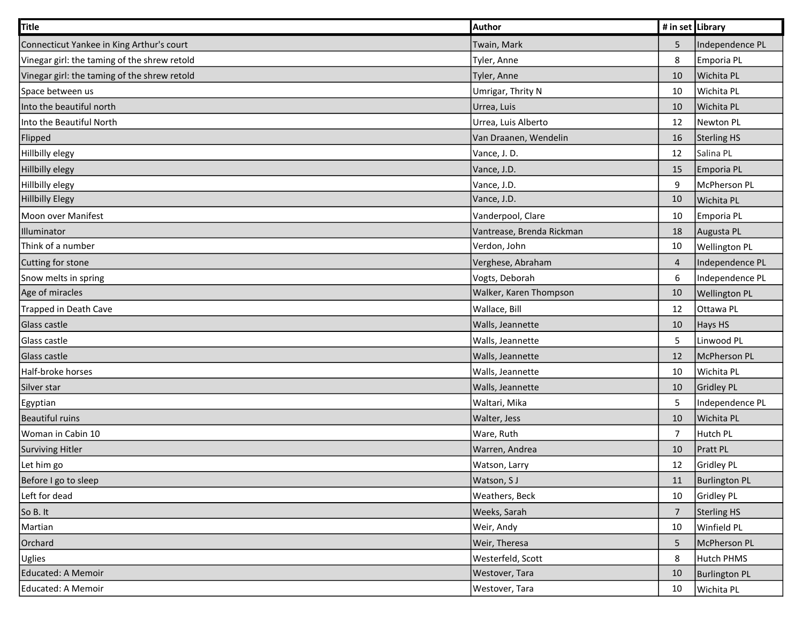| Title                                        | Author                    | # in set Library |                      |
|----------------------------------------------|---------------------------|------------------|----------------------|
| Connecticut Yankee in King Arthur's court    | Twain, Mark               | 5                | Independence PL      |
| Vinegar girl: the taming of the shrew retold | Tyler, Anne               | 8                | Emporia PL           |
| Vinegar girl: the taming of the shrew retold | Tyler, Anne               | 10               | Wichita PL           |
| Space between us                             | Umrigar, Thrity N         | 10               | Wichita PL           |
| Into the beautiful north                     | Urrea, Luis               | 10               | Wichita PL           |
| Into the Beautiful North                     | Urrea, Luis Alberto       | 12               | Newton PL            |
| Flipped                                      | Van Draanen, Wendelin     | 16               | Sterling HS          |
| Hillbilly elegy                              | Vance, J.D.               | 12               | Salina PL            |
| <b>Hillbilly elegy</b>                       | Vance, J.D.               | 15               | Emporia PL           |
| Hillbilly elegy                              | Vance, J.D.               | 9                | McPherson PL         |
| <b>Hillbilly Elegy</b>                       | Vance, J.D.               | 10               | Wichita PL           |
| Moon over Manifest                           | Vanderpool, Clare         | 10               | Emporia PL           |
| Illuminator                                  | Vantrease, Brenda Rickman | 18               | Augusta PL           |
| Think of a number                            | Verdon, John              | 10               | <b>Wellington PL</b> |
| Cutting for stone                            | Verghese, Abraham         | 4                | Independence PL      |
| Snow melts in spring                         | Vogts, Deborah            | 6                | Independence PL      |
| Age of miracles                              | Walker, Karen Thompson    | 10               | <b>Wellington PL</b> |
| <b>Trapped in Death Cave</b>                 | Wallace, Bill             | 12               | Ottawa PL            |
| Glass castle                                 | Walls, Jeannette          | 10               | Hays HS              |
| Glass castle                                 | Walls, Jeannette          | 5                | Linwood PL           |
| Glass castle                                 | Walls, Jeannette          | 12               | McPherson PL         |
| Half-broke horses                            | Walls, Jeannette          | 10               | Wichita PL           |
| Silver star                                  | Walls, Jeannette          | 10               | Gridley PL           |
| <b>Egyptian</b>                              | Waltari, Mika             | 5                | Independence PL      |
| <b>Beautiful ruins</b>                       | Walter, Jess              | 10               | Wichita PL           |
| Woman in Cabin 10                            | Ware, Ruth                | $\overline{7}$   | Hutch PL             |
| <b>Surviving Hitler</b>                      | Warren, Andrea            | 10               | Pratt PL             |
| Let him go                                   | Watson, Larry             | 12               | Gridley PL           |
| Before I go to sleep                         | Watson, SJ                | 11               | <b>Burlington PL</b> |
| Left for dead                                | Weathers, Beck            | 10               | Gridley PL           |
| So B. It                                     | Weeks, Sarah              | $\overline{7}$   | Sterling HS          |
| Martian                                      | Weir, Andy                | 10               | Winfield PL          |
| Orchard                                      | Weir, Theresa             | 5                | McPherson PL         |
| <b>Uglies</b>                                | Westerfeld, Scott         | 8                | Hutch PHMS           |
| Educated: A Memoir                           | Westover, Tara            | 10               | <b>Burlington PL</b> |
| Educated: A Memoir                           | Westover, Tara            | 10               | Wichita PL           |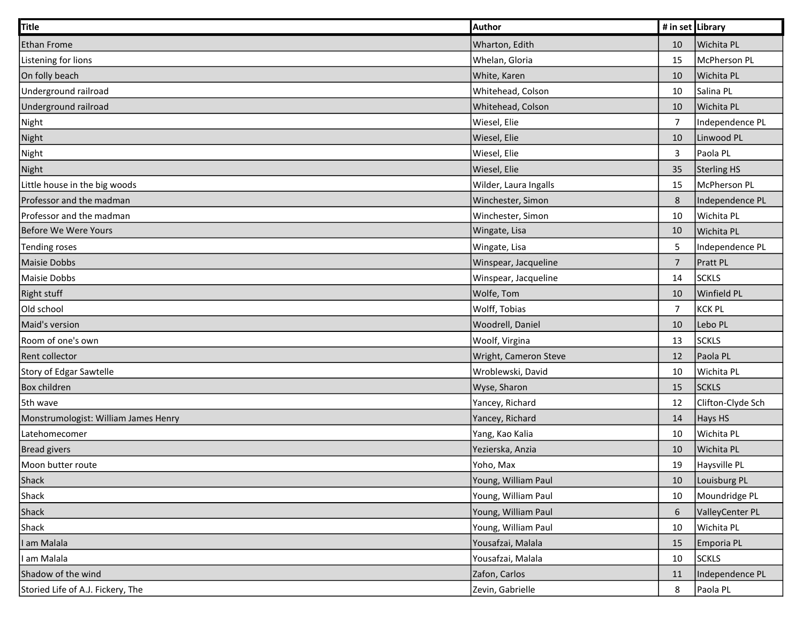| <b>Title</b>                         | Author                | # in set Library |                   |
|--------------------------------------|-----------------------|------------------|-------------------|
| <b>Ethan Frome</b>                   | Wharton, Edith        | 10               | Wichita PL        |
| Listening for lions                  | Whelan, Gloria        | 15               | McPherson PL      |
| On folly beach                       | White, Karen          | 10               | Wichita PL        |
| Underground railroad                 | Whitehead, Colson     | 10               | Salina PL         |
| Underground railroad                 | Whitehead, Colson     | 10               | Wichita PL        |
| Night                                | Wiesel, Elie          | $\overline{7}$   | Independence PL   |
| Night                                | Wiesel, Elie          | 10               | Linwood PL        |
| Night                                | Wiesel, Elie          | $\mathbf{3}$     | Paola PL          |
| Night                                | Wiesel, Elie          | 35               | Sterling HS       |
| Little house in the big woods        | Wilder, Laura Ingalls | 15               | McPherson PL      |
| Professor and the madman             | Winchester, Simon     | $\,8\,$          | Independence PL   |
| Professor and the madman             | Winchester, Simon     | 10               | Wichita PL        |
| <b>Before We Were Yours</b>          | Wingate, Lisa         | 10               | Wichita PL        |
| <b>Tending roses</b>                 | Wingate, Lisa         | 5                | Independence PL   |
| Maisie Dobbs                         | Winspear, Jacqueline  | $\overline{7}$   | Pratt PL          |
| Maisie Dobbs                         | Winspear, Jacqueline  | 14               | <b>SCKLS</b>      |
| <b>Right stuff</b>                   | Wolfe, Tom            | 10               | Winfield PL       |
| Old school                           | Wolff, Tobias         | $\overline{7}$   | KCK PL            |
| Maid's version                       | Woodrell, Daniel      | 10               | Lebo PL           |
| Room of one's own                    | Woolf, Virgina        | 13               | <b>SCKLS</b>      |
| Rent collector                       | Wright, Cameron Steve | 12               | Paola PL          |
| Story of Edgar Sawtelle              | Wroblewski, David     | 10               | Wichita PL        |
| Box children                         | Wyse, Sharon          | 15               | <b>SCKLS</b>      |
| 5th wave                             | Yancey, Richard       | 12               | Clifton-Clyde Sch |
| Monstrumologist: William James Henry | Yancey, Richard       | 14               | Hays HS           |
| Latehomecomer                        | Yang, Kao Kalia       | 10               | Wichita PL        |
| <b>Bread givers</b>                  | Yezierska, Anzia      | 10               | Wichita PL        |
| Moon butter route                    | Yoho, Max             | 19               | Haysville PL      |
| Shack                                | Young, William Paul   | 10               | Louisburg PL      |
| Shack                                | Young, William Paul   | 10               | Moundridge PL     |
| Shack                                | Young, William Paul   | $\boldsymbol{6}$ | ValleyCenter PL   |
| Shack                                | Young, William Paul   | 10               | Wichita PL        |
| am Malala                            | Yousafzai, Malala     | 15               | Emporia PL        |
| am Malala                            | Yousafzai, Malala     | 10               | <b>SCKLS</b>      |
| Shadow of the wind                   | Zafon, Carlos         | 11               | Independence PL   |
| Storied Life of A.J. Fickery, The    | Zevin, Gabrielle      | 8                | Paola PL          |